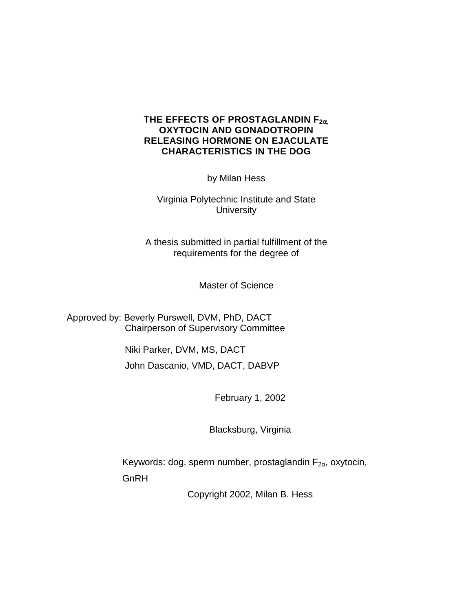# **THE EFFECTS OF PROSTAGLANDIN F2**α**, OXYTOCIN AND GONADOTROPIN RELEASING HORMONE ON EJACULATE CHARACTERISTICS IN THE DOG**

by Milan Hess

Virginia Polytechnic Institute and State **University** 

A thesis submitted in partial fulfillment of the requirements for the degree of

Master of Science

Approved by: Beverly Purswell, DVM, PhD, DACT Chairperson of Supervisory Committee

> Niki Parker, DVM, MS, DACT John Dascanio, VMD, DACT, DABVP

> > February 1, 2002

Blacksburg, Virginia

Keywords: dog, sperm number, prostaglandin  $F_{2\alpha}$ , oxytocin, **GnRH** 

Copyright 2002, Milan B. Hess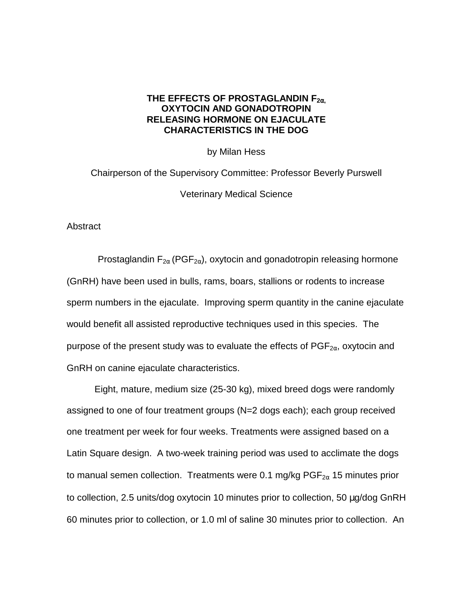## **THE EFFECTS OF PROSTAGLANDIN F2**α**, OXYTOCIN AND GONADOTROPIN RELEASING HORMONE ON EJACULATE CHARACTERISTICS IN THE DOG**

by Milan Hess

Chairperson of the Supervisory Committee: Professor Beverly Purswell Veterinary Medical Science

**Abstract** 

Prostaglandin  $F_{2\alpha}$  (PGF<sub>2 $\alpha$ </sub>), oxytocin and gonadotropin releasing hormone (GnRH) have been used in bulls, rams, boars, stallions or rodents to increase sperm numbers in the ejaculate. Improving sperm quantity in the canine ejaculate would benefit all assisted reproductive techniques used in this species. The purpose of the present study was to evaluate the effects of  $PGF_{2\alpha}$ , oxytocin and GnRH on canine ejaculate characteristics.

Eight, mature, medium size (25-30 kg), mixed breed dogs were randomly assigned to one of four treatment groups (N=2 dogs each); each group received one treatment per week for four weeks. Treatments were assigned based on a Latin Square design. A two-week training period was used to acclimate the dogs to manual semen collection. Treatments were 0.1 mg/kg  $PGF_{2\alpha}$  15 minutes prior to collection, 2.5 units/dog oxytocin 10 minutes prior to collection, 50 µg/dog GnRH 60 minutes prior to collection, or 1.0 ml of saline 30 minutes prior to collection. An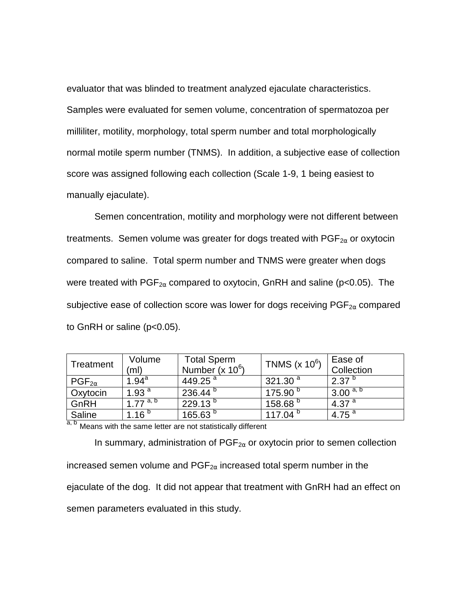evaluator that was blinded to treatment analyzed ejaculate characteristics. Samples were evaluated for semen volume, concentration of spermatozoa per milliliter, motility, morphology, total sperm number and total morphologically normal motile sperm number (TNMS). In addition, a subjective ease of collection score was assigned following each collection (Scale 1-9, 1 being easiest to manually ejaculate).

Semen concentration, motility and morphology were not different between treatments. Semen volume was greater for dogs treated with  $PGF_{2\alpha}$  or oxytocin compared to saline. Total sperm number and TNMS were greater when dogs were treated with  $PGF_{2\alpha}$  compared to oxytocin, GnRH and saline (p<0.05). The subjective ease of collection score was lower for dogs receiving  $PGF_{2\alpha}$  compared to GnRH or saline (p<0.05).

|                          | Volume               | <b>Total Sperm</b> | TNMS $(x 10^6)$     | Ease of                        |
|--------------------------|----------------------|--------------------|---------------------|--------------------------------|
| Treatment                | (ml)                 | Number (x $10^6$ ) |                     | Collection                     |
| $\mathsf{PGF}_{2\alpha}$ | $1.94^{\text{a}}$    | 449.25 $^{a}$      | 321.30 $^{a}$       | $2.37^{b}$                     |
| <b>Oxytocin</b>          | 1.93 $a$             | $236.44^{b}$       | 175.90 <sup>b</sup> | $3.00^{\mathrm{a},\mathrm{b}}$ |
| GnRH                     | 1.77 <sup>a, b</sup> | $229.13^{b}$       | 158.68 <sup>b</sup> | 4.37 $^{a}$                    |
| Saline                   | 1.16 $b$             | 165.63 $^{\circ}$  | 117.04 $^{\circ}$   | 4.75 $^{a}$                    |

a, b Means with the same letter are not statistically different

In summary, administration of  $PGF_{2\alpha}$  or oxytocin prior to semen collection increased semen volume and  $PGF_{2\alpha}$  increased total sperm number in the ejaculate of the dog. It did not appear that treatment with GnRH had an effect on semen parameters evaluated in this study.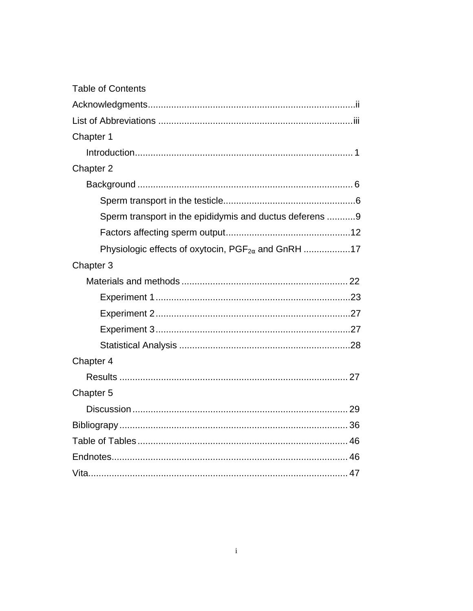| <b>Table of Contents</b>                                |  |
|---------------------------------------------------------|--|
|                                                         |  |
|                                                         |  |
| Chapter 1                                               |  |
|                                                         |  |
| Chapter 2                                               |  |
|                                                         |  |
|                                                         |  |
| Sperm transport in the epididymis and ductus deferens 9 |  |
|                                                         |  |
|                                                         |  |
| Chapter 3                                               |  |
|                                                         |  |
|                                                         |  |
|                                                         |  |
|                                                         |  |
|                                                         |  |
| Chapter 4                                               |  |
|                                                         |  |
| Chapter 5                                               |  |
|                                                         |  |
|                                                         |  |
|                                                         |  |
|                                                         |  |
|                                                         |  |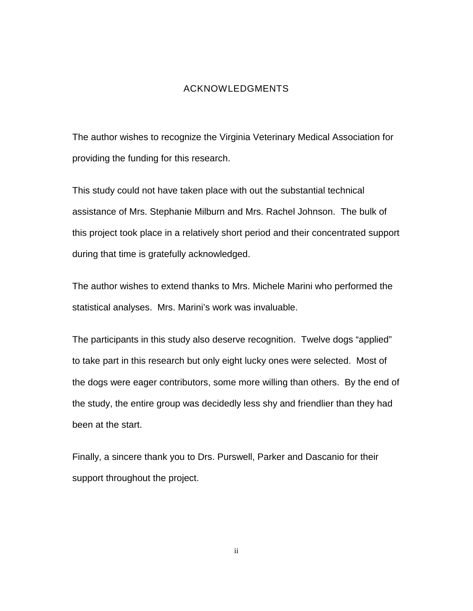#### ACKNOWLEDGMENTS

<span id="page-4-0"></span>The author wishes to recognize the Virginia Veterinary Medical Association for providing the funding for this research.

This study could not have taken place with out the substantial technical assistance of Mrs. Stephanie Milburn and Mrs. Rachel Johnson. The bulk of this project took place in a relatively short period and their concentrated support during that time is gratefully acknowledged.

The author wishes to extend thanks to Mrs. Michele Marini who performed the statistical analyses. Mrs. Marini's work was invaluable.

The participants in this study also deserve recognition. Twelve dogs "applied" to take part in this research but only eight lucky ones were selected. Most of the dogs were eager contributors, some more willing than others. By the end of the study, the entire group was decidedly less shy and friendlier than they had been at the start.

Finally, a sincere thank you to Drs. Purswell, Parker and Dascanio for their support throughout the project.

ii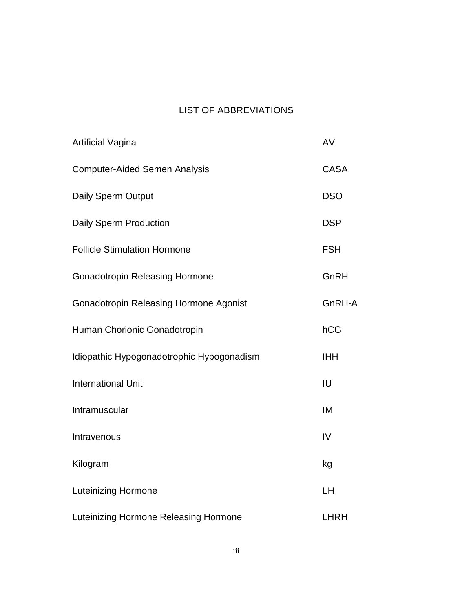# LIST OF ABBREVIATIONS

| <b>Artificial Vagina</b>                      | AV          |
|-----------------------------------------------|-------------|
| <b>Computer-Aided Semen Analysis</b>          | <b>CASA</b> |
| <b>Daily Sperm Output</b>                     | <b>DSO</b>  |
| <b>Daily Sperm Production</b>                 | <b>DSP</b>  |
| <b>Follicle Stimulation Hormone</b>           | <b>FSH</b>  |
| <b>Gonadotropin Releasing Hormone</b>         | GnRH        |
| <b>Gonadotropin Releasing Hormone Agonist</b> | GnRH-A      |
| Human Chorionic Gonadotropin                  | hCG         |
| Idiopathic Hypogonadotrophic Hypogonadism     | <b>IHH</b>  |
| <b>International Unit</b>                     | IU          |
| Intramuscular                                 | IM          |
| Intravenous                                   | IV          |
| Kilogram                                      | kg          |
| <b>Luteinizing Hormone</b>                    | LH          |
| Luteinizing Hormone Releasing Hormone         | <b>LHRH</b> |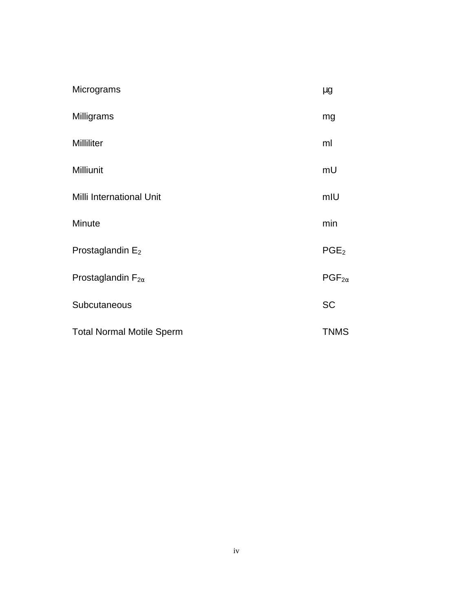| Micrograms                       | $\mu$ g          |
|----------------------------------|------------------|
| Milligrams                       | mg               |
| <b>Milliliter</b>                | ml               |
| <b>Milliunit</b>                 | mU               |
| Milli International Unit         | mIU              |
| Minute                           | min              |
| Prostaglandin $E_2$              | PGE <sub>2</sub> |
| Prostaglandin $F_{2\alpha}$      | $PGF_{2\alpha}$  |
| Subcutaneous                     | <b>SC</b>        |
| <b>Total Normal Motile Sperm</b> | <b>TNMS</b>      |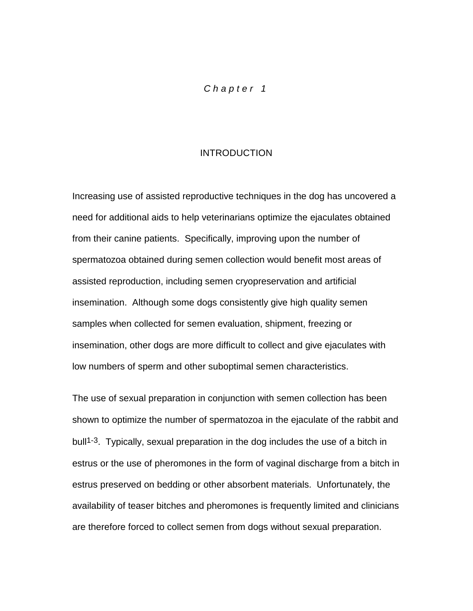# *Chapter 1*

#### **INTRODUCTION**

<span id="page-7-0"></span>Increasing use of assisted reproductive techniques in the dog has uncovered a need for additional aids to help veterinarians optimize the ejaculates obtained from their canine patients. Specifically, improving upon the number of spermatozoa obtained during semen collection would benefit most areas of assisted reproduction, including semen cryopreservation and artificial insemination. Although some dogs consistently give high quality semen samples when collected for semen evaluation, shipment, freezing or insemination, other dogs are more difficult to collect and give ejaculates with low numbers of sperm and other suboptimal semen characteristics.

The use of sexual preparation in conjunction with semen collection has been shown to optimize the number of spermatozoa in the ejaculate of the rabbit and bull<sup>1-3</sup>. Typically, sexual preparation in the dog includes the use of a bitch in estrus or the use of pheromones in the form of vaginal discharge from a bitch in estrus preserved on bedding or other absorbent materials. Unfortunately, the availability of teaser bitches and pheromones is frequently limited and clinicians are therefore forced to collect semen from dogs without sexual preparation.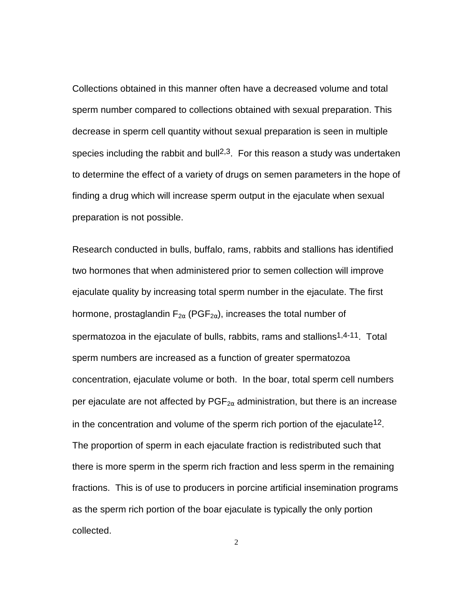Collections obtained in this manner often have a decreased volume and total sperm number compared to collections obtained with sexual preparation. This decrease in sperm cell quantity without sexual preparation is seen in multiple species including the rabbit and bull<sup>2,3</sup>. For this reason a study was undertaken to determine the effect of a variety of drugs on semen parameters in the hope of finding a drug which will increase sperm output in the ejaculate when sexual preparation is not possible.

Research conducted in bulls, buffalo, rams, rabbits and stallions has identified two hormones that when administered prior to semen collection will improve ejaculate quality by increasing total sperm number in the ejaculate. The first hormone, prostaglandin  $F_{2\alpha}$  (PGF<sub>2 $\alpha$ </sub>), increases the total number of spermatozoa in the ejaculate of bulls, rabbits, rams and stallions<sup>1,4-11</sup>. Total sperm numbers are increased as a function of greater spermatozoa concentration, ejaculate volume or both. In the boar, total sperm cell numbers per ejaculate are not affected by  $PGF_{2\alpha}$  administration, but there is an increase in the concentration and volume of the sperm rich portion of the ejaculate<sup>12</sup>. The proportion of sperm in each ejaculate fraction is redistributed such that there is more sperm in the sperm rich fraction and less sperm in the remaining fractions. This is of use to producers in porcine artificial insemination programs as the sperm rich portion of the boar ejaculate is typically the only portion collected.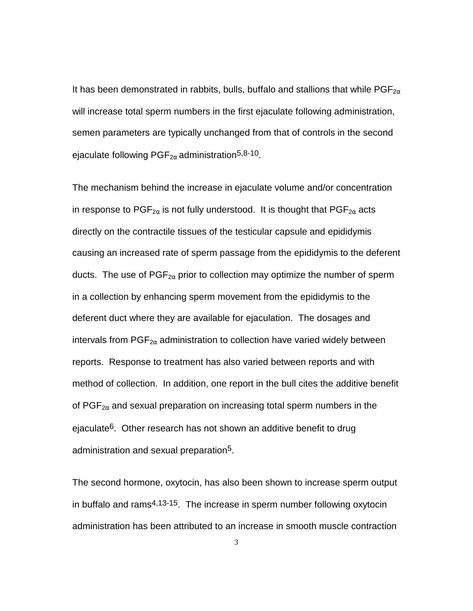It has been demonstrated in rabbits, bulls, buffalo and stallions that while  $PGF_{2\alpha}$ will increase total sperm numbers in the first ejaculate following administration, semen parameters are typically unchanged from that of controls in the second ejaculate following  $PGF_{2\alpha}$  administration<sup>5,8-10</sup>.

The mechanism behind the increase in ejaculate volume and/or concentration in response to PGF<sub>2 $\alpha$ </sub> is not fully understood. It is thought that PGF<sub>2 $\alpha$ </sub> acts directly on the contractile tissues of the testicular capsule and epididymis causing an increased rate of sperm passage from the epididymis to the deferent ducts. The use of  $PGF_{2\alpha}$  prior to collection may optimize the number of sperm in a collection by enhancing sperm movement from the epididymis to the deferent duct where they are available for ejaculation. The dosages and intervals from  $PGF_{2\alpha}$  administration to collection have varied widely between reports. Response to treatment has also varied between reports and with method of collection. In addition, one report in the bull cites the additive benefit of  $PGF_{2\alpha}$  and sexual preparation on increasing total sperm numbers in the ejaculate<sup>6</sup>. Other research has not shown an additive benefit to drug administration and sexual preparation<sup>5</sup>.

The second hormone, oxytocin, has also been shown to increase sperm output in buffalo and rams4,13-15. The increase in sperm number following oxytocin administration has been attributed to an increase in smooth muscle contraction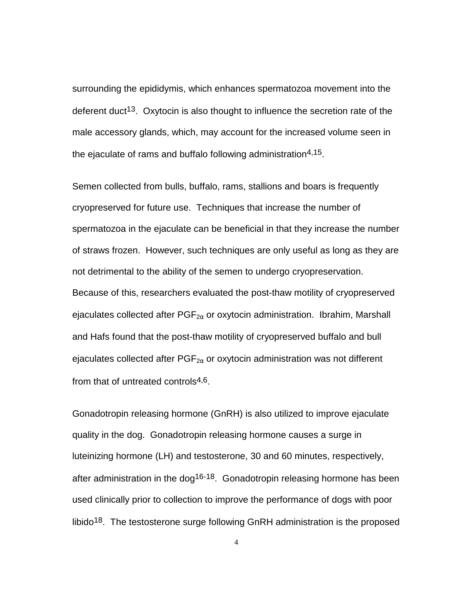surrounding the epididymis, which enhances spermatozoa movement into the deferent duct<sup>13</sup>. Oxytocin is also thought to influence the secretion rate of the male accessory glands, which, may account for the increased volume seen in the ejaculate of rams and buffalo following administration<sup>4,15</sup>.

Semen collected from bulls, buffalo, rams, stallions and boars is frequently cryopreserved for future use. Techniques that increase the number of spermatozoa in the ejaculate can be beneficial in that they increase the number of straws frozen. However, such techniques are only useful as long as they are not detrimental to the ability of the semen to undergo cryopreservation. Because of this, researchers evaluated the post-thaw motility of cryopreserved ejaculates collected after  $PGF_{2\alpha}$  or oxytocin administration. Ibrahim, Marshall and Hafs found that the post-thaw motility of cryopreserved buffalo and bull ejaculates collected after  $PGF_{2\alpha}$  or oxytocin administration was not different from that of untreated controls $4,6$ .

Gonadotropin releasing hormone (GnRH) is also utilized to improve ejaculate quality in the dog. Gonadotropin releasing hormone causes a surge in luteinizing hormone (LH) and testosterone, 30 and 60 minutes, respectively, after administration in the dog<sup>16-18</sup>. Gonadotropin releasing hormone has been used clinically prior to collection to improve the performance of dogs with poor libido18. The testosterone surge following GnRH administration is the proposed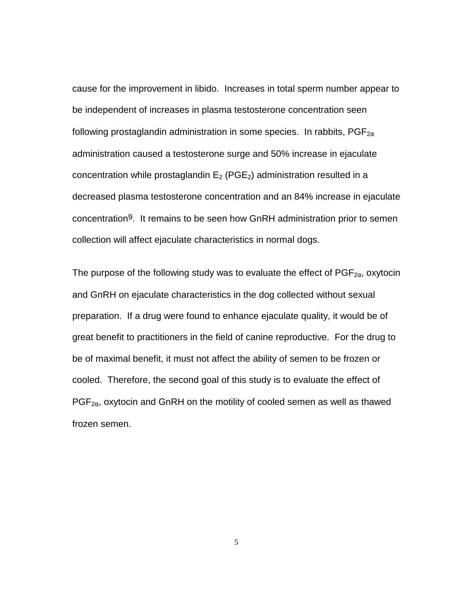cause for the improvement in libido. Increases in total sperm number appear to be independent of increases in plasma testosterone concentration seen following prostaglandin administration in some species. In rabbits,  $PGF_{2\alpha}$ administration caused a testosterone surge and 50% increase in ejaculate concentration while prostaglandin  $E_2$  (PGE<sub>2</sub>) administration resulted in a decreased plasma testosterone concentration and an 84% increase in ejaculate concentration9. It remains to be seen how GnRH administration prior to semen collection will affect ejaculate characteristics in normal dogs.

The purpose of the following study was to evaluate the effect of  $PGF_{2\alpha}$ , oxytocin and GnRH on ejaculate characteristics in the dog collected without sexual preparation. If a drug were found to enhance ejaculate quality, it would be of great benefit to practitioners in the field of canine reproductive. For the drug to be of maximal benefit, it must not affect the ability of semen to be frozen or cooled. Therefore, the second goal of this study is to evaluate the effect of  $PGF_{2\alpha}$ , oxytocin and GnRH on the motility of cooled semen as well as thawed frozen semen.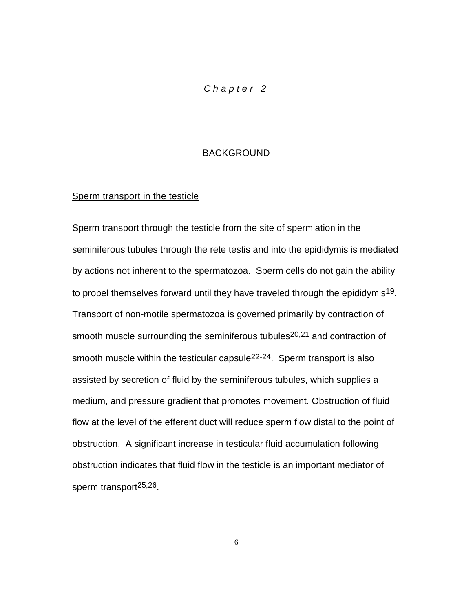## *Chapter 2*

#### BACKGROUND

#### <span id="page-12-0"></span>Sperm transport in the testicle

Sperm transport through the testicle from the site of spermiation in the seminiferous tubules through the rete testis and into the epididymis is mediated by actions not inherent to the spermatozoa. Sperm cells do not gain the ability to propel themselves forward until they have traveled through the epididymis19. Transport of non-motile spermatozoa is governed primarily by contraction of smooth muscle surrounding the seminiferous tubules<sup>20,21</sup> and contraction of smooth muscle within the testicular capsule<sup>22-24</sup>. Sperm transport is also assisted by secretion of fluid by the seminiferous tubules, which supplies a medium, and pressure gradient that promotes movement. Obstruction of fluid flow at the level of the efferent duct will reduce sperm flow distal to the point of obstruction. A significant increase in testicular fluid accumulation following obstruction indicates that fluid flow in the testicle is an important mediator of sperm transport25,26.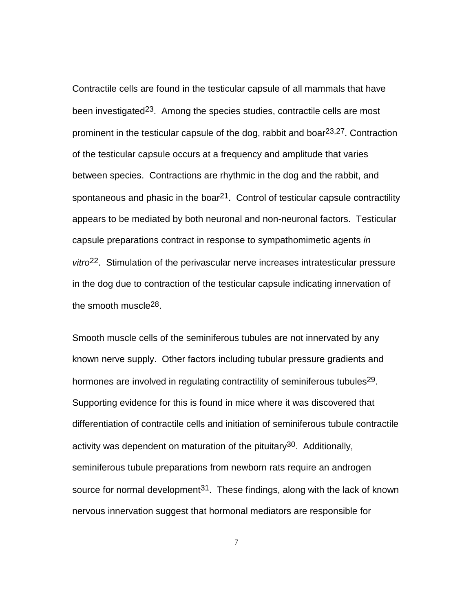Contractile cells are found in the testicular capsule of all mammals that have been investigated<sup>23</sup>. Among the species studies, contractile cells are most prominent in the testicular capsule of the dog, rabbit and boar  $23,27$ . Contraction of the testicular capsule occurs at a frequency and amplitude that varies between species. Contractions are rhythmic in the dog and the rabbit, and spontaneous and phasic in the boar<sup>21</sup>. Control of testicular capsule contractility appears to be mediated by both neuronal and non-neuronal factors. Testicular capsule preparations contract in response to sympathomimetic agents *in vitro*22. Stimulation of the perivascular nerve increases intratesticular pressure in the dog due to contraction of the testicular capsule indicating innervation of the smooth muscle<sup>28</sup>.

Smooth muscle cells of the seminiferous tubules are not innervated by any known nerve supply. Other factors including tubular pressure gradients and hormones are involved in regulating contractility of seminiferous tubules<sup>29</sup>. Supporting evidence for this is found in mice where it was discovered that differentiation of contractile cells and initiation of seminiferous tubule contractile activity was dependent on maturation of the pituitary<sup>30</sup>. Additionally, seminiferous tubule preparations from newborn rats require an androgen source for normal development<sup>31</sup>. These findings, along with the lack of known nervous innervation suggest that hormonal mediators are responsible for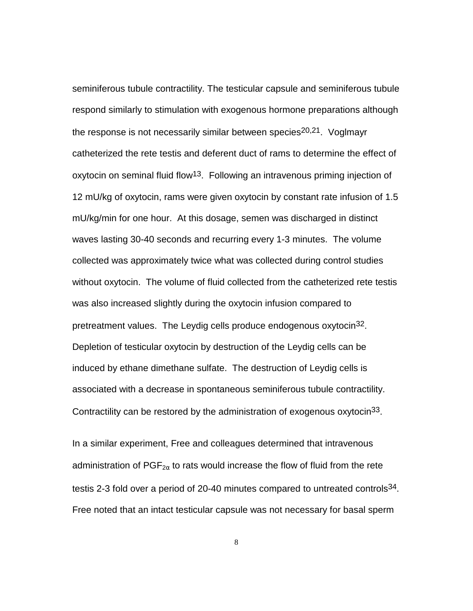seminiferous tubule contractility. The testicular capsule and seminiferous tubule respond similarly to stimulation with exogenous hormone preparations although the response is not necessarily similar between species<sup>20,21</sup>. Voglmayr catheterized the rete testis and deferent duct of rams to determine the effect of oxytocin on seminal fluid flow<sup>13</sup>. Following an intravenous priming injection of 12 mU/kg of oxytocin, rams were given oxytocin by constant rate infusion of 1.5 mU/kg/min for one hour. At this dosage, semen was discharged in distinct waves lasting 30-40 seconds and recurring every 1-3 minutes. The volume collected was approximately twice what was collected during control studies without oxytocin. The volume of fluid collected from the catheterized rete testis was also increased slightly during the oxytocin infusion compared to pretreatment values. The Leydig cells produce endogenous oxytocin<sup>32</sup>. Depletion of testicular oxytocin by destruction of the Leydig cells can be induced by ethane dimethane sulfate. The destruction of Leydig cells is associated with a decrease in spontaneous seminiferous tubule contractility. Contractility can be restored by the administration of exogenous oxytocin<sup>33</sup>.

In a similar experiment, Free and colleagues determined that intravenous administration of  $PGF_{2\alpha}$  to rats would increase the flow of fluid from the rete testis 2-3 fold over a period of 20-40 minutes compared to untreated controls<sup>34</sup>. Free noted that an intact testicular capsule was not necessary for basal sperm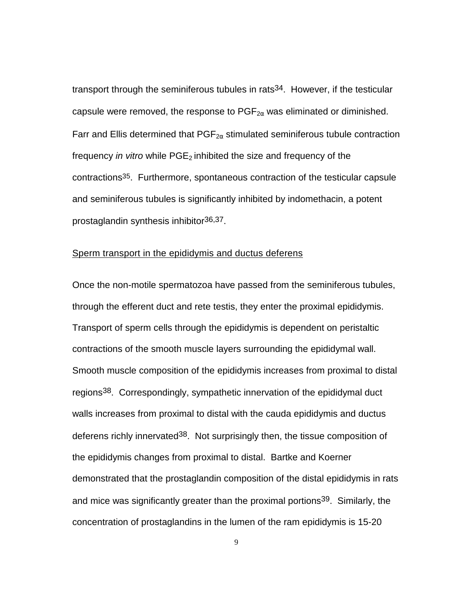<span id="page-15-0"></span>transport through the seminiferous tubules in rats<sup>34</sup>. However, if the testicular capsule were removed, the response to  $PGF_{2\alpha}$  was eliminated or diminished. Farr and Ellis determined that  $PGF_{2\alpha}$  stimulated seminiferous tubule contraction frequency *in vitro* while PGE<sub>2</sub> inhibited the size and frequency of the contractions35. Furthermore, spontaneous contraction of the testicular capsule and seminiferous tubules is significantly inhibited by indomethacin, a potent prostaglandin synthesis inhibitor36,37.

#### Sperm transport in the epididymis and ductus deferens

Once the non-motile spermatozoa have passed from the seminiferous tubules, through the efferent duct and rete testis, they enter the proximal epididymis. Transport of sperm cells through the epididymis is dependent on peristaltic contractions of the smooth muscle layers surrounding the epididymal wall. Smooth muscle composition of the epididymis increases from proximal to distal regions<sup>38</sup>. Correspondingly, sympathetic innervation of the epididymal duct walls increases from proximal to distal with the cauda epididymis and ductus deferens richly innervated<sup>38</sup>. Not surprisingly then, the tissue composition of the epididymis changes from proximal to distal. Bartke and Koerner demonstrated that the prostaglandin composition of the distal epididymis in rats and mice was significantly greater than the proximal portions<sup>39</sup>. Similarly, the concentration of prostaglandins in the lumen of the ram epididymis is 15-20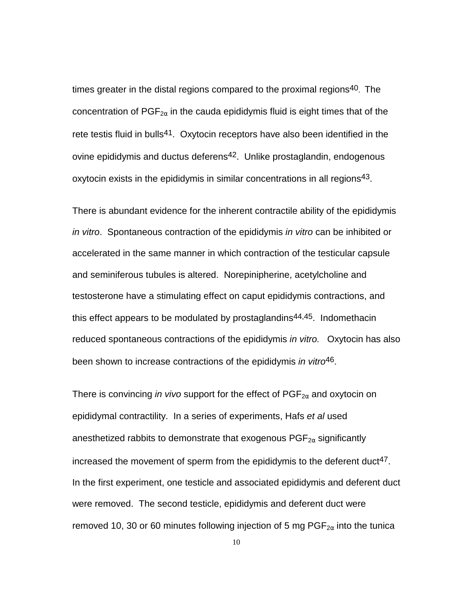times greater in the distal regions compared to the proximal regions<sup>40</sup>. The concentration of  $PGF_{2\alpha}$  in the cauda epididymis fluid is eight times that of the rete testis fluid in bulls<sup>41</sup>. Oxytocin receptors have also been identified in the ovine epididymis and ductus deferens<sup>42</sup>. Unlike prostaglandin, endogenous oxytocin exists in the epididymis in similar concentrations in all regions43.

There is abundant evidence for the inherent contractile ability of the epididymis *in vitro*. Spontaneous contraction of the epididymis *in vitro* can be inhibited or accelerated in the same manner in which contraction of the testicular capsule and seminiferous tubules is altered. Norepinipherine, acetylcholine and testosterone have a stimulating effect on caput epididymis contractions, and this effect appears to be modulated by prostaglandins<sup>44,45</sup>. Indomethacin reduced spontaneous contractions of the epididymis *in vitro.* Oxytocin has also been shown to increase contractions of the epididymis *in vitro*46.

There is convincing *in vivo* support for the effect of  $PGF_{2\alpha}$  and oxytocin on epididymal contractility. In a series of experiments, Hafs *et al* used anesthetized rabbits to demonstrate that exogenous  $PGF_{2\alpha}$  significantly increased the movement of sperm from the epididymis to the deferent duct<sup>47</sup>. In the first experiment, one testicle and associated epididymis and deferent duct were removed. The second testicle, epididymis and deferent duct were removed 10, 30 or 60 minutes following injection of 5 mg  $\mathsf{PGF}_{2\alpha}$  into the tunica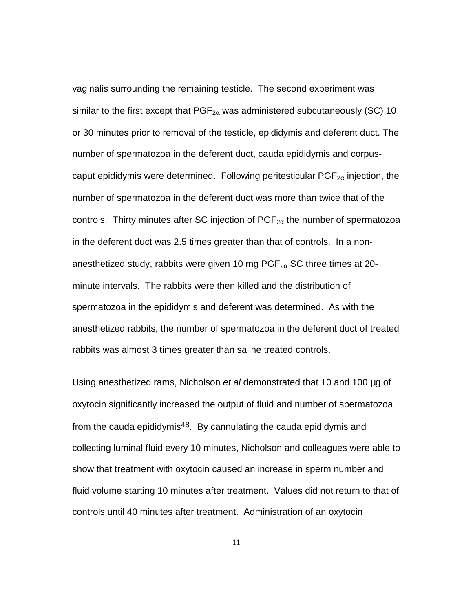vaginalis surrounding the remaining testicle. The second experiment was similar to the first except that  $PGF_{2\alpha}$  was administered subcutaneously (SC) 10 or 30 minutes prior to removal of the testicle, epididymis and deferent duct. The number of spermatozoa in the deferent duct, cauda epididymis and corpuscaput epididymis were determined. Following peritesticular  $PGF_{2\alpha}$  injection, the number of spermatozoa in the deferent duct was more than twice that of the controls. Thirty minutes after SC injection of  $PGF_{2\alpha}$  the number of spermatozoa in the deferent duct was 2.5 times greater than that of controls. In a nonanesthetized study, rabbits were given 10 mg  $PGF_{2\alpha}$  SC three times at 20minute intervals. The rabbits were then killed and the distribution of spermatozoa in the epididymis and deferent was determined. As with the anesthetized rabbits, the number of spermatozoa in the deferent duct of treated rabbits was almost 3 times greater than saline treated controls.

Using anesthetized rams, Nicholson *et al* demonstrated that 10 and 100 µg of oxytocin significantly increased the output of fluid and number of spermatozoa from the cauda epididymis<sup>48</sup>. By cannulating the cauda epididymis and collecting luminal fluid every 10 minutes, Nicholson and colleagues were able to show that treatment with oxytocin caused an increase in sperm number and fluid volume starting 10 minutes after treatment. Values did not return to that of controls until 40 minutes after treatment. Administration of an oxytocin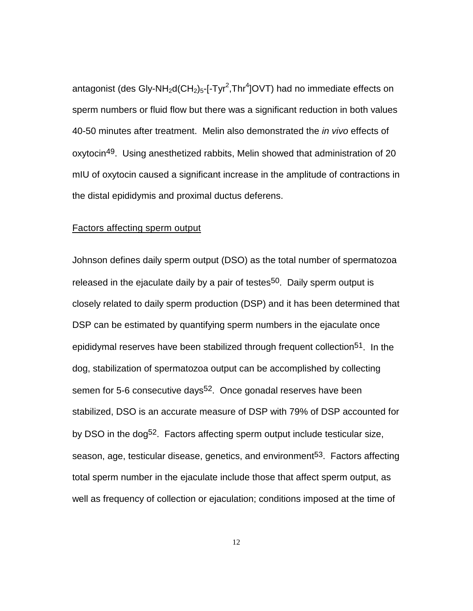<span id="page-18-0"></span>antagonist (des Gly-NH<sub>2</sub>d(CH<sub>2</sub>)<sub>5</sub>-[-Tyr<sup>2</sup>,Thr<sup>4</sup>]OVT) had no immediate effects on sperm numbers or fluid flow but there was a significant reduction in both values 40-50 minutes after treatment. Melin also demonstrated the *in vivo* effects of oxytocin49. Using anesthetized rabbits, Melin showed that administration of 20 mIU of oxytocin caused a significant increase in the amplitude of contractions in the distal epididymis and proximal ductus deferens.

#### Factors affecting sperm output

Johnson defines daily sperm output (DSO) as the total number of spermatozoa released in the ejaculate daily by a pair of testes<sup>50</sup>. Daily sperm output is closely related to daily sperm production (DSP) and it has been determined that DSP can be estimated by quantifying sperm numbers in the ejaculate once epididymal reserves have been stabilized through frequent collection<sup>51</sup>. In the dog, stabilization of spermatozoa output can be accomplished by collecting semen for 5-6 consecutive days<sup>52</sup>. Once gonadal reserves have been stabilized, DSO is an accurate measure of DSP with 79% of DSP accounted for by DSO in the dog<sup>52</sup>. Factors affecting sperm output include testicular size, season, age, testicular disease, genetics, and environment<sup>53</sup>. Factors affecting total sperm number in the ejaculate include those that affect sperm output, as well as frequency of collection or ejaculation; conditions imposed at the time of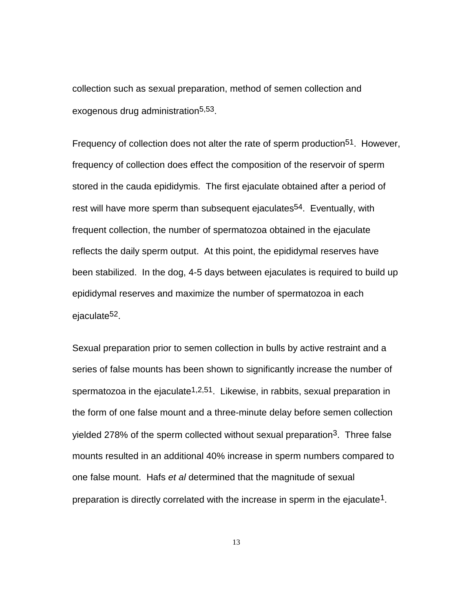collection such as sexual preparation, method of semen collection and exogenous drug administration5,53.

Frequency of collection does not alter the rate of sperm production<sup>51</sup>. However, frequency of collection does effect the composition of the reservoir of sperm stored in the cauda epididymis. The first ejaculate obtained after a period of rest will have more sperm than subsequent ejaculates<sup>54</sup>. Eventually, with frequent collection, the number of spermatozoa obtained in the ejaculate reflects the daily sperm output. At this point, the epididymal reserves have been stabilized. In the dog, 4-5 days between ejaculates is required to build up epididymal reserves and maximize the number of spermatozoa in each ejaculate52.

Sexual preparation prior to semen collection in bulls by active restraint and a series of false mounts has been shown to significantly increase the number of spermatozoa in the ejaculate<sup>1,2,51</sup>. Likewise, in rabbits, sexual preparation in the form of one false mount and a three-minute delay before semen collection yielded 278% of the sperm collected without sexual preparation<sup>3</sup>. Three false mounts resulted in an additional 40% increase in sperm numbers compared to one false mount. Hafs *et al* determined that the magnitude of sexual preparation is directly correlated with the increase in sperm in the ejaculate<sup>1</sup>.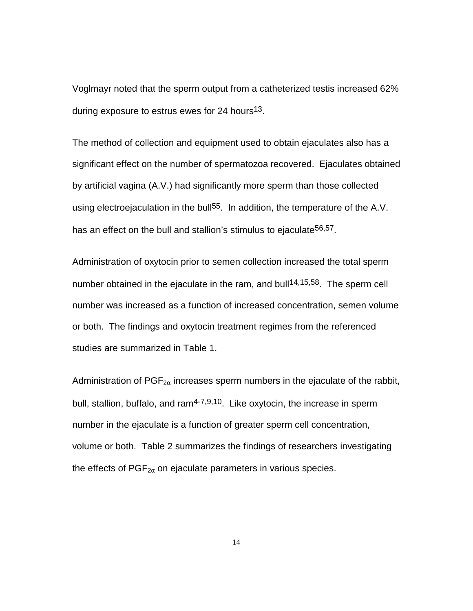Voglmayr noted that the sperm output from a catheterized testis increased 62% during exposure to estrus ewes for 24 hours<sup>13</sup>.

The method of collection and equipment used to obtain ejaculates also has a significant effect on the number of spermatozoa recovered. Ejaculates obtained by artificial vagina (A.V.) had significantly more sperm than those collected using electroejaculation in the bull<sup>55</sup>. In addition, the temperature of the A.V. has an effect on the bull and stallion's stimulus to ejaculate<sup>56,57</sup>.

Administration of oxytocin prior to semen collection increased the total sperm number obtained in the ejaculate in the ram, and bull<sup>14,15,58</sup>. The sperm cell number was increased as a function of increased concentration, semen volume or both. The findings and oxytocin treatment regimes from the referenced studies are summarized in Table 1.

Administration of  $PGF_{2\alpha}$  increases sperm numbers in the ejaculate of the rabbit, bull, stallion, buffalo, and  $ram<sup>4-7,9,10</sup>$ . Like oxytocin, the increase in sperm number in the ejaculate is a function of greater sperm cell concentration, volume or both. Table 2 summarizes the findings of researchers investigating the effects of  $PGF_{2\alpha}$  on ejaculate parameters in various species.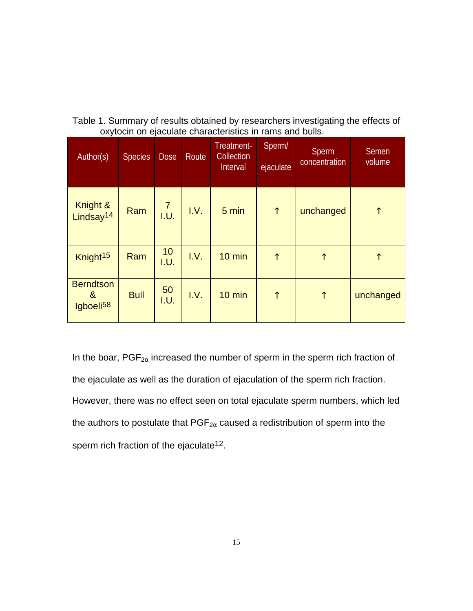<span id="page-21-0"></span>

| Table 1. Summary of results obtained by researchers investigating the effects of |                 |  |  |  |  |  |  |
|----------------------------------------------------------------------------------|-----------------|--|--|--|--|--|--|
| oxytocin on ejaculate characteristics in rams and bulls.                         |                 |  |  |  |  |  |  |
|                                                                                  | Trastmant Snarm |  |  |  |  |  |  |

| Author(s)                                                   | <b>Species</b> | <b>Dose</b>            | Route | Treatment-<br>Collection<br>Interval | Sperm/<br>ejaculate | <b>Sperm</b><br>concentration | <b>Semen</b><br>volume |
|-------------------------------------------------------------|----------------|------------------------|-------|--------------------------------------|---------------------|-------------------------------|------------------------|
| Knight &<br>Lindsay <sup>14</sup>                           | Ram            | $\overline{7}$<br>I.U. | I.V.  | $5 \text{ min}$                      | $\uparrow$          | unchanged                     | $\uparrow$             |
| Knight <sup>15</sup>                                        | Ram            | 10<br>I.U.             | I.V.  | 10 min                               | $\uparrow$          | $\uparrow$                    | $\uparrow$             |
| <b>Berndtson</b><br>8 <sub>o</sub><br>Igboeli <sup>58</sup> | <b>Bull</b>    | 50<br>I.U.             | I.V.  | 10 min                               | $\uparrow$          | $\uparrow$                    | unchanged              |

In the boar,  $PGF_{2\alpha}$  increased the number of sperm in the sperm rich fraction of the ejaculate as well as the duration of ejaculation of the sperm rich fraction. However, there was no effect seen on total ejaculate sperm numbers, which led the authors to postulate that  $PGF_{2\alpha}$  caused a redistribution of sperm into the sperm rich fraction of the ejaculate<sup>12</sup>.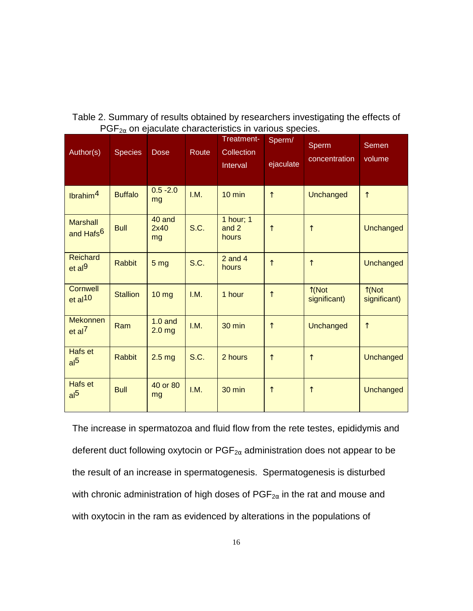| Author(s)                                | <b>Species</b>  | <b>Dose</b>                    | Route | Treatment-<br><b>Collection</b><br>Interval | Sperm/<br>ejaculate | Sperm<br>concentration          | Semen<br>volume                 |
|------------------------------------------|-----------------|--------------------------------|-------|---------------------------------------------|---------------------|---------------------------------|---------------------------------|
| lbrahim <sup>4</sup>                     | <b>Buffalo</b>  | $0.5 - 2.0$<br>mg              | I.M.  | $10 \text{ min}$                            | $\uparrow$          | Unchanged                       | $\uparrow$                      |
| <b>Marshall</b><br>and Hafs <sup>6</sup> | <b>Bull</b>     | 40 and<br>2x40<br>mg           | S.C.  | 1 hour; 1<br>and 2<br>hours                 | ↑                   | $\uparrow$                      | Unchanged                       |
| <b>Reichard</b><br>et al <sup>9</sup>    | <b>Rabbit</b>   | 5 <sub>mg</sub>                | S.C.  | $2$ and $4$<br>hours                        | $\uparrow$          | $\uparrow$                      | Unchanged                       |
| Cornwell<br>et al <sup>10</sup>          | <b>Stallion</b> | 10 <sub>mg</sub>               | I.M.  | 1 hour                                      | $\uparrow$          | $\uparrow$ (Not<br>significant) | $\uparrow$ (Not<br>significant) |
| <b>Mekonnen</b><br>et al <sup>7</sup>    | Ram             | $1.0$ and<br>2.0 <sub>mg</sub> | I.M.  | 30 min                                      | $\uparrow$          | Unchanged                       | $\uparrow$                      |
| Hafs et<br>al <sup>5</sup>               | <b>Rabbit</b>   | 2.5 <sub>mg</sub>              | S.C.  | 2 hours                                     | $\uparrow$          | $\uparrow$                      | Unchanged                       |
| Hafs et<br>al <sup>5</sup>               | <b>Bull</b>     | 40 or 80<br>mg                 | I.M.  | 30 min                                      | $\uparrow$          | $\uparrow$                      | Unchanged                       |

<span id="page-22-0"></span>Table 2. Summary of results obtained by researchers investigating the effects of  $PGF_{2\alpha}$  on ejaculate characteristics in various species.

The increase in spermatozoa and fluid flow from the rete testes, epididymis and deferent duct following oxytocin or  $PGF_{2\alpha}$  administration does not appear to be the result of an increase in spermatogenesis. Spermatogenesis is disturbed with chronic administration of high doses of  $PGF_{2\alpha}$  in the rat and mouse and with oxytocin in the ram as evidenced by alterations in the populations of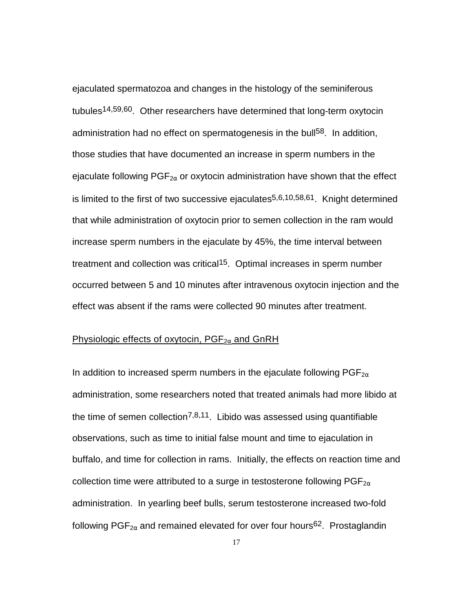<span id="page-23-0"></span>ejaculated spermatozoa and changes in the histology of the seminiferous tubules14,59,60. Other researchers have determined that long-term oxytocin administration had no effect on spermatogenesis in the bull<sup>58</sup>. In addition, those studies that have documented an increase in sperm numbers in the ejaculate following  $PGF_{2\alpha}$  or oxytocin administration have shown that the effect is limited to the first of two successive ejaculates $5,6,10,58,61$ . Knight determined that while administration of oxytocin prior to semen collection in the ram would increase sperm numbers in the ejaculate by 45%, the time interval between treatment and collection was critical<sup>15</sup>. Optimal increases in sperm number occurred between 5 and 10 minutes after intravenous oxytocin injection and the effect was absent if the rams were collected 90 minutes after treatment.

## Physiologic effects of oxytocin,  $PGF_{2\alpha}$  and GnRH

In addition to increased sperm numbers in the ejaculate following  $PGF_{2\alpha}$ administration, some researchers noted that treated animals had more libido at the time of semen collection<sup>7,8,11</sup>. Libido was assessed using quantifiable observations, such as time to initial false mount and time to ejaculation in buffalo, and time for collection in rams. Initially, the effects on reaction time and collection time were attributed to a surge in testosterone following  $PGF_{2\alpha}$ administration. In yearling beef bulls, serum testosterone increased two-fold following  $PGF_{2\alpha}$  and remained elevated for over four hours<sup>62</sup>. Prostaglandin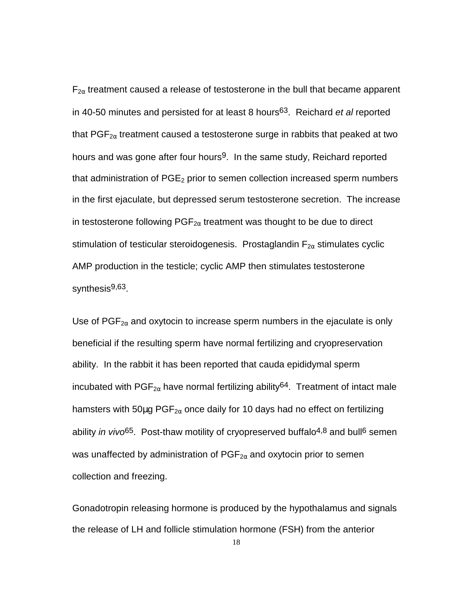$F_{2\alpha}$  treatment caused a release of testosterone in the bull that became apparent in 40-50 minutes and persisted for at least 8 hours63. Reichard *et al* reported that  $PGF_{2\alpha}$  treatment caused a testosterone surge in rabbits that peaked at two hours and was gone after four hours<sup>9</sup>. In the same study, Reichard reported that administration of  $PGE<sub>2</sub>$  prior to semen collection increased sperm numbers in the first ejaculate, but depressed serum testosterone secretion. The increase in testosterone following  $PGF_{2\alpha}$  treatment was thought to be due to direct stimulation of testicular steroidogenesis. Prostaglandin  $F_{2\alpha}$  stimulates cyclic AMP production in the testicle; cyclic AMP then stimulates testosterone synthesis<sup>9,63</sup>.

Use of  $PGF_{2\alpha}$  and oxytocin to increase sperm numbers in the ejaculate is only beneficial if the resulting sperm have normal fertilizing and cryopreservation ability. In the rabbit it has been reported that cauda epididymal sperm incubated with PGF<sub>2 $\alpha$ </sub> have normal fertilizing ability<sup>64</sup>. Treatment of intact male hamsters with 50 $\mu$ g PGF<sub>2 $\alpha$ </sub> once daily for 10 days had no effect on fertilizing ability *in vivo*<sup>65</sup>. Post-thaw motility of cryopreserved buffalo<sup>4,8</sup> and bull<sup>6</sup> semen was unaffected by administration of  $PGF_{2\alpha}$  and oxytocin prior to semen collection and freezing.

Gonadotropin releasing hormone is produced by the hypothalamus and signals the release of LH and follicle stimulation hormone (FSH) from the anterior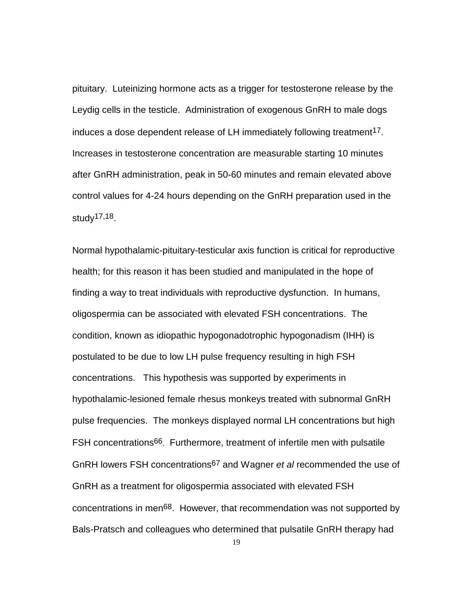pituitary. Luteinizing hormone acts as a trigger for testosterone release by the Leydig cells in the testicle. Administration of exogenous GnRH to male dogs induces a dose dependent release of LH immediately following treatment<sup>17</sup>. Increases in testosterone concentration are measurable starting 10 minutes after GnRH administration, peak in 50-60 minutes and remain elevated above control values for 4-24 hours depending on the GnRH preparation used in the study17,18.

Normal hypothalamic-pituitary-testicular axis function is critical for reproductive health; for this reason it has been studied and manipulated in the hope of finding a way to treat individuals with reproductive dysfunction. In humans, oligospermia can be associated with elevated FSH concentrations. The condition, known as idiopathic hypogonadotrophic hypogonadism (IHH) is postulated to be due to low LH pulse frequency resulting in high FSH concentrations. This hypothesis was supported by experiments in hypothalamic-lesioned female rhesus monkeys treated with subnormal GnRH pulse frequencies. The monkeys displayed normal LH concentrations but high FSH concentrations<sup>66</sup>. Furthermore, treatment of infertile men with pulsatile GnRH lowers FSH concentrations67 and Wagner *et al* recommended the use of GnRH as a treatment for oligospermia associated with elevated FSH concentrations in men68. However, that recommendation was not supported by Bals-Pratsch and colleagues who determined that pulsatile GnRH therapy had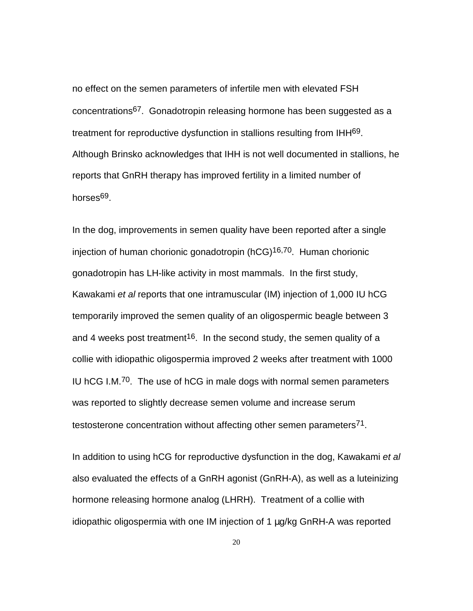no effect on the semen parameters of infertile men with elevated FSH concentrations67. Gonadotropin releasing hormone has been suggested as a treatment for reproductive dysfunction in stallions resulting from IHH69. Although Brinsko acknowledges that IHH is not well documented in stallions, he reports that GnRH therapy has improved fertility in a limited number of horses<sup>69</sup>.

In the dog, improvements in semen quality have been reported after a single injection of human chorionic gonadotropin (hCG)<sup>16,70</sup>. Human chorionic gonadotropin has LH-like activity in most mammals. In the first study, Kawakami *et al* reports that one intramuscular (IM) injection of 1,000 IU hCG temporarily improved the semen quality of an oligospermic beagle between 3 and 4 weeks post treatment<sup>16</sup>. In the second study, the semen quality of a collie with idiopathic oligospermia improved 2 weeks after treatment with 1000 IU hCG I.M.<sup>70</sup>. The use of hCG in male dogs with normal semen parameters was reported to slightly decrease semen volume and increase serum testosterone concentration without affecting other semen parameters<sup>71</sup>.

In addition to using hCG for reproductive dysfunction in the dog, Kawakami *et al* also evaluated the effects of a GnRH agonist (GnRH-A), as well as a luteinizing hormone releasing hormone analog (LHRH). Treatment of a collie with idiopathic oligospermia with one IM injection of 1 µg/kg GnRH-A was reported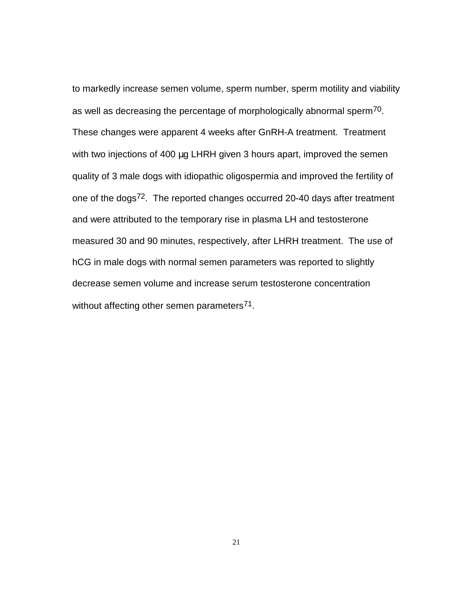to markedly increase semen volume, sperm number, sperm motility and viability as well as decreasing the percentage of morphologically abnormal sperm70. These changes were apparent 4 weeks after GnRH-A treatment. Treatment with two injections of 400 µg LHRH given 3 hours apart, improved the semen quality of 3 male dogs with idiopathic oligospermia and improved the fertility of one of the dogs72. The reported changes occurred 20-40 days after treatment and were attributed to the temporary rise in plasma LH and testosterone measured 30 and 90 minutes, respectively, after LHRH treatment. The use of hCG in male dogs with normal semen parameters was reported to slightly decrease semen volume and increase serum testosterone concentration without affecting other semen parameters<sup>71</sup>.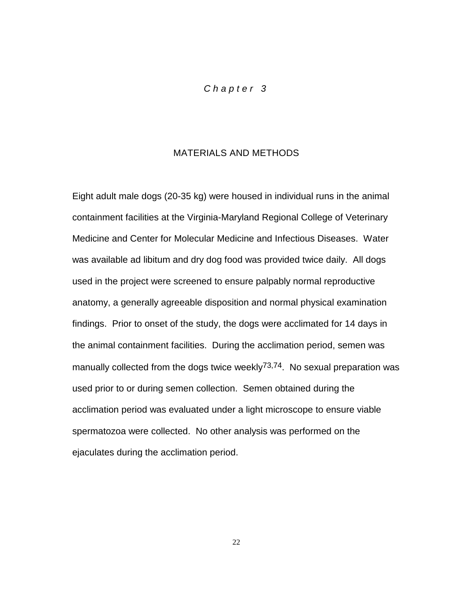## *Chapter 3*

## MATERIALS AND METHODS

<span id="page-28-0"></span>Eight adult male dogs (20-35 kg) were housed in individual runs in the animal containment facilities at the Virginia-Maryland Regional College of Veterinary Medicine and Center for Molecular Medicine and Infectious Diseases. Water was available ad libitum and dry dog food was provided twice daily. All dogs used in the project were screened to ensure palpably normal reproductive anatomy, a generally agreeable disposition and normal physical examination findings. Prior to onset of the study, the dogs were acclimated for 14 days in the animal containment facilities. During the acclimation period, semen was manually collected from the dogs twice weekly<sup>73,74</sup>. No sexual preparation was used prior to or during semen collection. Semen obtained during the acclimation period was evaluated under a light microscope to ensure viable spermatozoa were collected. No other analysis was performed on the ejaculates during the acclimation period.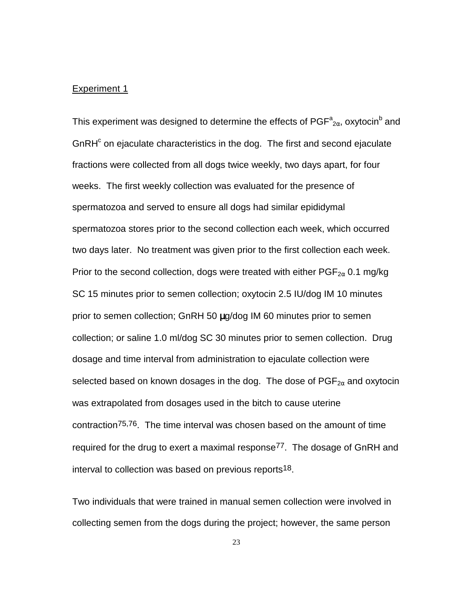#### <span id="page-29-0"></span>Experiment 1

This experiment was designed to determine the effects of PGF $^{\rm a}{}_{\rm 2\alpha}$ , oxytocin $^{\rm b}$  and GnRH<sup>c</sup> on ejaculate characteristics in the dog. The first and second ejaculate fractions were collected from all dogs twice weekly, two days apart, for four weeks. The first weekly collection was evaluated for the presence of spermatozoa and served to ensure all dogs had similar epididymal spermatozoa stores prior to the second collection each week, which occurred two days later. No treatment was given prior to the first collection each week. Prior to the second collection, dogs were treated with either  $PGF_{2\alpha}$  0.1 mg/kg SC 15 minutes prior to semen collection; oxytocin 2.5 IU/dog IM 10 minutes prior to semen collection; GnRH 50 µg/dog IM 60 minutes prior to semen collection; or saline 1.0 ml/dog SC 30 minutes prior to semen collection. Drug dosage and time interval from administration to ejaculate collection were selected based on known dosages in the dog. The dose of  $PGF_{2\alpha}$  and oxytocin was extrapolated from dosages used in the bitch to cause uterine contraction75,76. The time interval was chosen based on the amount of time required for the drug to exert a maximal response<sup>77</sup>. The dosage of GnRH and interval to collection was based on previous reports18.

Two individuals that were trained in manual semen collection were involved in collecting semen from the dogs during the project; however, the same person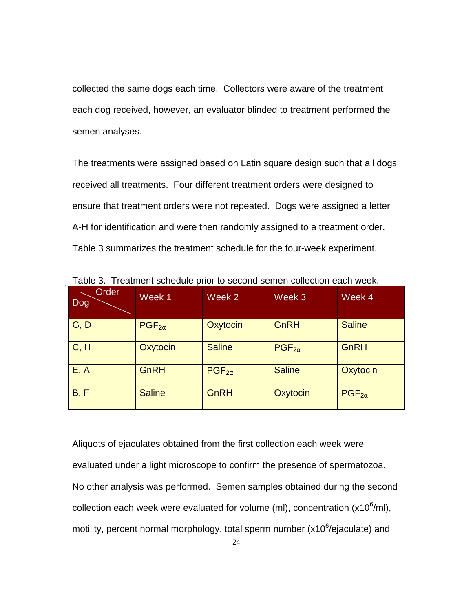<span id="page-30-0"></span>collected the same dogs each time. Collectors were aware of the treatment each dog received, however, an evaluator blinded to treatment performed the semen analyses.

The treatments were assigned based on Latin square design such that all dogs received all treatments. Four different treatment orders were designed to ensure that treatment orders were not repeated. Dogs were assigned a letter A-H for identification and were then randomly assigned to a treatment order. Table 3 summarizes the treatment schedule for the four-week experiment.

| Order<br>Dog | Week 1          | Week 2          | Week 3          | Week 4          |
|--------------|-----------------|-----------------|-----------------|-----------------|
| G, D         | $PGF_{2\alpha}$ | Oxytocin        | GnRH            | <b>Saline</b>   |
| C, H         | Oxytocin        | <b>Saline</b>   | $PGF_{2\alpha}$ | GnRH            |
| E, A         | GnRH            | $PGF_{2\alpha}$ | <b>Saline</b>   | Oxytocin        |
| B, F         | <b>Saline</b>   | GnRH            | Oxytocin        | $PGF_{2\alpha}$ |

Table 3. Treatment schedule prior to second semen collection each week.

Aliquots of ejaculates obtained from the first collection each week were evaluated under a light microscope to confirm the presence of spermatozoa. No other analysis was performed. Semen samples obtained during the second collection each week were evaluated for volume (ml), concentration (x10 $6$ /ml), motility, percent normal morphology, total sperm number (x10 $6$ /ejaculate) and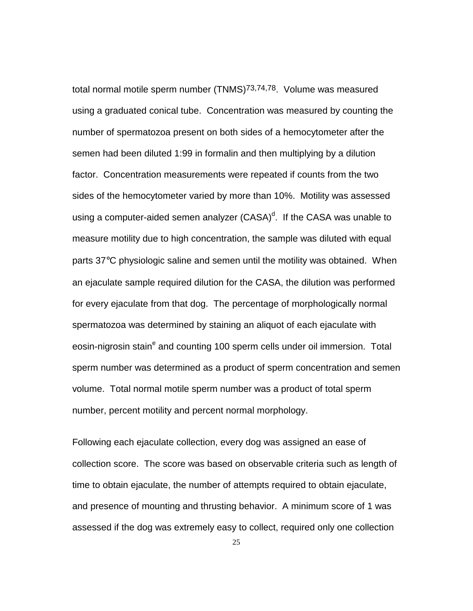total normal motile sperm number (TNMS)73,74,78. Volume was measured using a graduated conical tube. Concentration was measured by counting the number of spermatozoa present on both sides of a hemocytometer after the semen had been diluted 1:99 in formalin and then multiplying by a dilution factor. Concentration measurements were repeated if counts from the two sides of the hemocytometer varied by more than 10%. Motility was assessed using a computer-aided semen analyzer  $(CASA)^d$ . If the CASA was unable to measure motility due to high concentration, the sample was diluted with equal parts 37°C physiologic saline and semen until the motility was obtained. When an ejaculate sample required dilution for the CASA, the dilution was performed for every ejaculate from that dog. The percentage of morphologically normal spermatozoa was determined by staining an aliquot of each ejaculate with eosin-nigrosin stain<sup>e</sup> and counting 100 sperm cells under oil immersion. Total sperm number was determined as a product of sperm concentration and semen volume. Total normal motile sperm number was a product of total sperm number, percent motility and percent normal morphology.

Following each ejaculate collection, every dog was assigned an ease of collection score. The score was based on observable criteria such as length of time to obtain ejaculate, the number of attempts required to obtain ejaculate, and presence of mounting and thrusting behavior. A minimum score of 1 was assessed if the dog was extremely easy to collect, required only one collection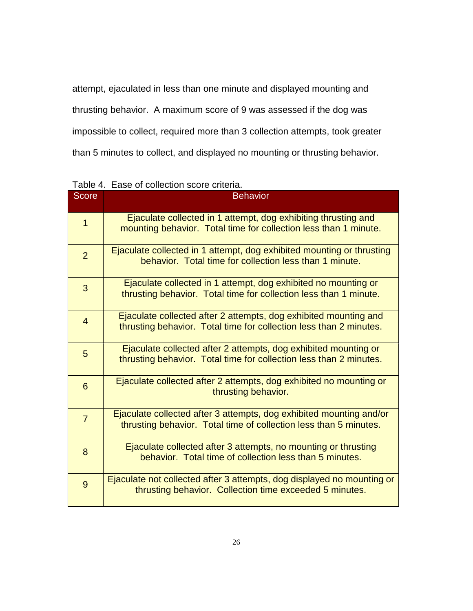<span id="page-32-0"></span>attempt, ejaculated in less than one minute and displayed mounting and thrusting behavior. A maximum score of 9 was assessed if the dog was impossible to collect, required more than 3 collection attempts, took greater than 5 minutes to collect, and displayed no mounting or thrusting behavior.

| Score          | <b>Behavior</b>                                                                                                                          |
|----------------|------------------------------------------------------------------------------------------------------------------------------------------|
| $\overline{1}$ | Ejaculate collected in 1 attempt, dog exhibiting thrusting and<br>mounting behavior. Total time for collection less than 1 minute.       |
| $\overline{2}$ | Ejaculate collected in 1 attempt, dog exhibited mounting or thrusting<br>behavior. Total time for collection less than 1 minute.         |
| 3              | Ejaculate collected in 1 attempt, dog exhibited no mounting or<br>thrusting behavior. Total time for collection less than 1 minute.      |
| $\overline{4}$ | Ejaculate collected after 2 attempts, dog exhibited mounting and<br>thrusting behavior. Total time for collection less than 2 minutes.   |
| 5              | Ejaculate collected after 2 attempts, dog exhibited mounting or<br>thrusting behavior. Total time for collection less than 2 minutes.    |
| 6              | Ejaculate collected after 2 attempts, dog exhibited no mounting or<br>thrusting behavior.                                                |
| $\overline{7}$ | Ejaculate collected after 3 attempts, dog exhibited mounting and/or<br>thrusting behavior. Total time of collection less than 5 minutes. |
| 8              | Ejaculate collected after 3 attempts, no mounting or thrusting<br>behavior. Total time of collection less than 5 minutes.                |
| 9              | Ejaculate not collected after 3 attempts, dog displayed no mounting or<br>thrusting behavior. Collection time exceeded 5 minutes.        |

Table 4. Ease of collection score criteria.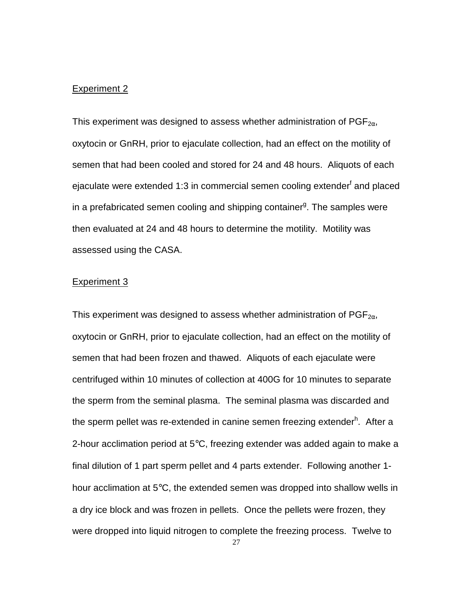#### <span id="page-33-0"></span>Experiment 2

This experiment was designed to assess whether administration of  $PGF_{2\alpha}$ , oxytocin or GnRH, prior to ejaculate collection, had an effect on the motility of semen that had been cooled and stored for 24 and 48 hours. Aliquots of each ejaculate were extended 1:3 in commercial semen cooling extender<sup>f</sup> and placed in a prefabricated semen cooling and shipping container<sup>g</sup>. The samples were then evaluated at 24 and 48 hours to determine the motility. Motility was assessed using the CASA.

#### Experiment 3

This experiment was designed to assess whether administration of  $PGF_{2\alpha}$ , oxytocin or GnRH, prior to ejaculate collection, had an effect on the motility of semen that had been frozen and thawed. Aliquots of each ejaculate were centrifuged within 10 minutes of collection at 400G for 10 minutes to separate the sperm from the seminal plasma. The seminal plasma was discarded and the sperm pellet was re-extended in canine semen freezing extender<sup>h</sup>. After a 2-hour acclimation period at  $5^{\circ}$ C, freezing extender was added again to make a final dilution of 1 part sperm pellet and 4 parts extender. Following another 1 hour acclimation at 5°C, the extended semen was dropped into shallow wells in a dry ice block and was frozen in pellets. Once the pellets were frozen, they were dropped into liquid nitrogen to complete the freezing process. Twelve to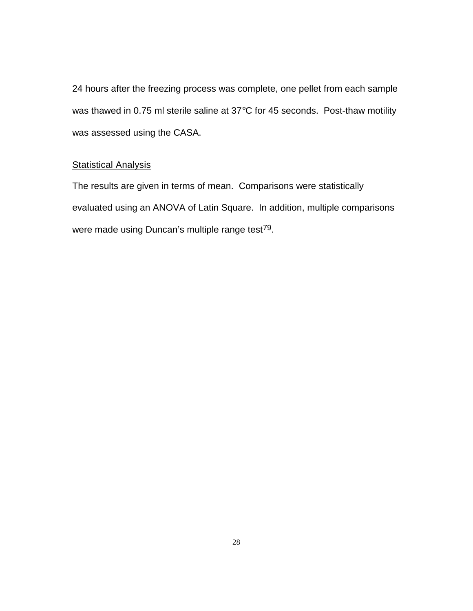<span id="page-34-0"></span>24 hours after the freezing process was complete, one pellet from each sample was thawed in 0.75 ml sterile saline at 37°C for 45 seconds. Post-thaw motility was assessed using the CASA.

## **Statistical Analysis**

The results are given in terms of mean. Comparisons were statistically evaluated using an ANOVA of Latin Square. In addition, multiple comparisons were made using Duncan's multiple range test<sup>79</sup>.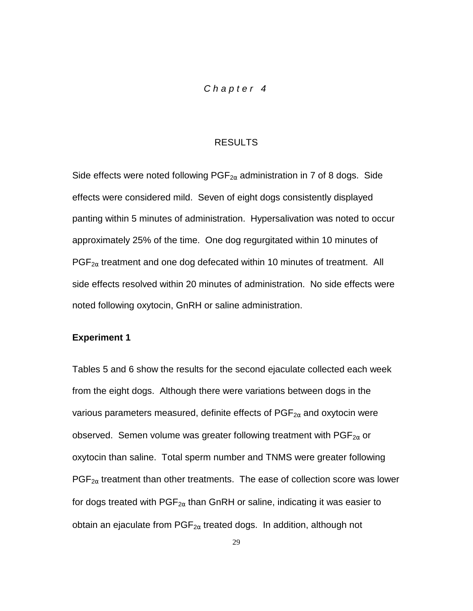## *Chapter 4*

#### RESULTS

<span id="page-35-0"></span>Side effects were noted following  $PGF_{2\alpha}$  administration in 7 of 8 dogs. Side effects were considered mild. Seven of eight dogs consistently displayed panting within 5 minutes of administration. Hypersalivation was noted to occur approximately 25% of the time. One dog regurgitated within 10 minutes of  $PGF_{2\alpha}$  treatment and one dog defecated within 10 minutes of treatment. All side effects resolved within 20 minutes of administration. No side effects were noted following oxytocin, GnRH or saline administration.

#### **Experiment 1**

Tables 5 and 6 show the results for the second ejaculate collected each week from the eight dogs. Although there were variations between dogs in the various parameters measured, definite effects of  $PGF_{2\alpha}$  and oxytocin were observed. Semen volume was greater following treatment with  $\mathsf{PGF}_{2\alpha}$  or oxytocin than saline. Total sperm number and TNMS were greater following  $PGF_{2\alpha}$  treatment than other treatments. The ease of collection score was lower for dogs treated with  $PGF_{2\alpha}$  than GnRH or saline, indicating it was easier to obtain an ejaculate from  $PGF_{2\alpha}$  treated dogs. In addition, although not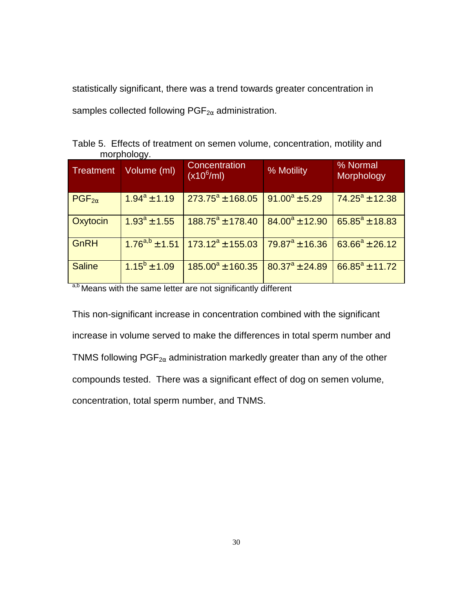<span id="page-36-0"></span>statistically significant, there was a trend towards greater concentration in samples collected following  $PGF_{2\alpha}$  administration.

|             |  | Table 5. Effects of treatment on semen volume, concentration, motility and |  |
|-------------|--|----------------------------------------------------------------------------|--|
| morphology. |  |                                                                            |  |

| <b>Treatment</b> | Volume (ml)         | Concentration<br>$(x10^6$ /ml) | % Motility              | % Normal<br>Morphology |
|------------------|---------------------|--------------------------------|-------------------------|------------------------|
| $PGF_{2\alpha}$  | $1.94^a \pm 1.19$   | $273.75^{\circ}$ ± 168.05      | $91.00^a \pm 5.29$      | $74.25^a \pm 12.38$    |
| Oxytocin         | $1.93^a \pm 1.55$   | $188.75^a \pm 178.40$          | $84.00^a \pm 12.90$     | $65.85^a \pm 18.83$    |
| GnRH             | $1.76^{a,b}$ ± 1.51 | $173.12^a \pm 155.03$          | $79.87^{\circ}$ ± 16.36 | $63.66^a \pm 26.12$    |
| <b>Saline</b>    | $1.15^b \pm 1.09$   | $185.00^a \pm 160.35$          | $80.37^a \pm 24.89$     | $66.85^a \pm 11.72$    |

a,b Means with the same letter are not significantly different

This non-significant increase in concentration combined with the significant increase in volume served to make the differences in total sperm number and TNMS following  $PGF_{2\alpha}$  administration markedly greater than any of the other compounds tested. There was a significant effect of dog on semen volume, concentration, total sperm number, and TNMS.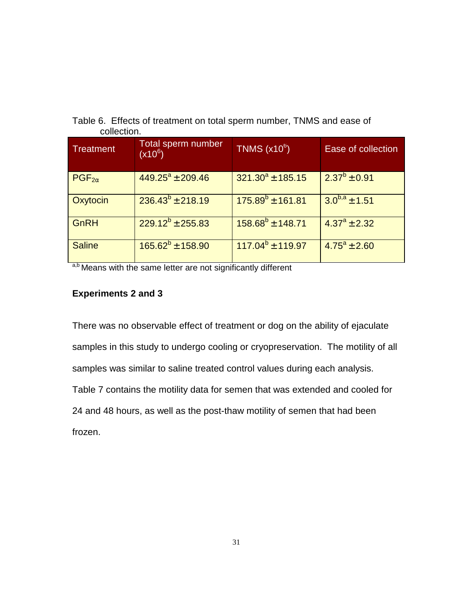<span id="page-37-0"></span>

| Table 6. Effects of treatment on total sperm number, TNMS and ease of |
|-----------------------------------------------------------------------|
| collection.                                                           |

| <b>Treatment</b> | Total sperm number<br>$(x10^6)$ | $TNMS$ (x10 $^{6}$ )  | Ease of collection    |
|------------------|---------------------------------|-----------------------|-----------------------|
| $PGF_{2\alpha}$  | $449.25^a \pm 209.46$           | $321.30^a \pm 185.15$ | $2.37^b \pm 0.91$     |
| Oxytocin         | $236.43^{b} \pm 218.19$         | $175.89^{b}$ ± 161.81 | $3.0^{b,a}$ ± 1.51    |
| GnRH             | $229.12^{b} \pm 255.83$         | $158.68^{b}$ ± 148.71 | $4.37^{\circ}$ ± 2.32 |
| <b>Saline</b>    | $165.62^b \pm 158.90$           | $117.04^b \pm 119.97$ | $4.75^{\circ}$ ± 2.60 |

a,b Means with the same letter are not significantly different

# **Experiments 2 and 3**

There was no observable effect of treatment or dog on the ability of ejaculate samples in this study to undergo cooling or cryopreservation. The motility of all samples was similar to saline treated control values during each analysis. Table 7 contains the motility data for semen that was extended and cooled for 24 and 48 hours, as well as the post-thaw motility of semen that had been frozen.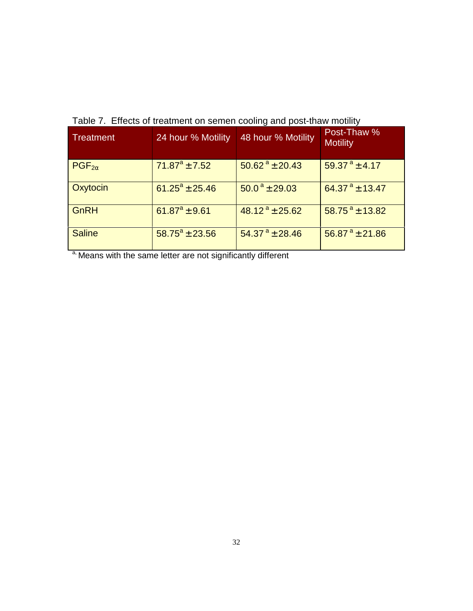| <b>Treatment</b> | 24 hour % Motility      | 48 hour % Motility            | Post-Thaw %<br><b>Motility</b> |
|------------------|-------------------------|-------------------------------|--------------------------------|
| $PGF_{2\alpha}$  | $71.87^a \pm 7.52$      | $50.62^a \pm 20.43$           | 59.37 $a_{\pm}$ 4.17           |
| Oxytocin         | $61.25^a \pm 25.46$     | $50.0^{\text{ a}}$ ± 29.03    | 64.37 $^{\circ}$ ± 13.47       |
| GnRH             | $61.87^a \pm 9.61$      | $48.12^a \pm 25.62$           | 58.75 $^{\circ}$ ± 13.82       |
| <b>Saline</b>    | $58.75^{\circ}$ ± 23.56 | $54.37^{\text{ a}} \pm 28.46$ | $56.87^{\text{ a}} \pm 21.86$  |

<span id="page-38-0"></span>Table 7. Effects of treatment on semen cooling and post-thaw motility

a, Means with the same letter are not significantly different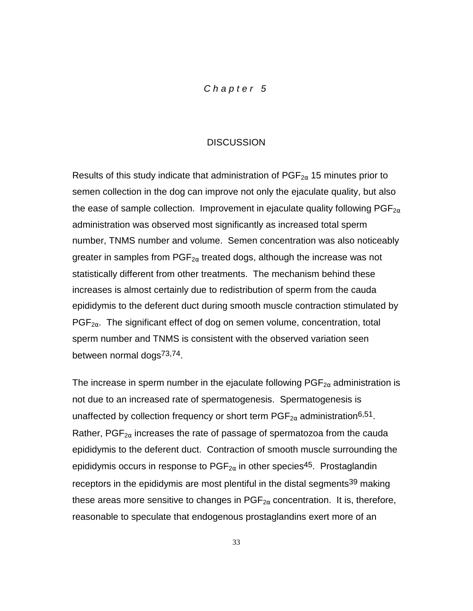## *Chapter 5*

#### **DISCUSSION**

<span id="page-39-0"></span>Results of this study indicate that administration of  $PGF_{2\alpha}$  15 minutes prior to semen collection in the dog can improve not only the ejaculate quality, but also the ease of sample collection. Improvement in ejaculate quality following  $PGF_{2\alpha}$ administration was observed most significantly as increased total sperm number, TNMS number and volume. Semen concentration was also noticeably greater in samples from  $PGF_{2\alpha}$  treated dogs, although the increase was not statistically different from other treatments. The mechanism behind these increases is almost certainly due to redistribution of sperm from the cauda epididymis to the deferent duct during smooth muscle contraction stimulated by  $PGF_{2\alpha}$ . The significant effect of dog on semen volume, concentration, total sperm number and TNMS is consistent with the observed variation seen between normal dogs<sup>73,74</sup>.

The increase in sperm number in the ejaculate following  $PGF_{2\alpha}$  administration is not due to an increased rate of spermatogenesis. Spermatogenesis is unaffected by collection frequency or short term  $PGF_{2\alpha}$  administration<sup>6,51</sup>. Rather,  $PGF_{2\alpha}$  increases the rate of passage of spermatozoa from the cauda epididymis to the deferent duct. Contraction of smooth muscle surrounding the epididymis occurs in response to  $PGF_{2\alpha}$  in other species<sup>45</sup>. Prostaglandin receptors in the epididymis are most plentiful in the distal segments<sup>39</sup> making these areas more sensitive to changes in  $PGF_{2\alpha}$  concentration. It is, therefore, reasonable to speculate that endogenous prostaglandins exert more of an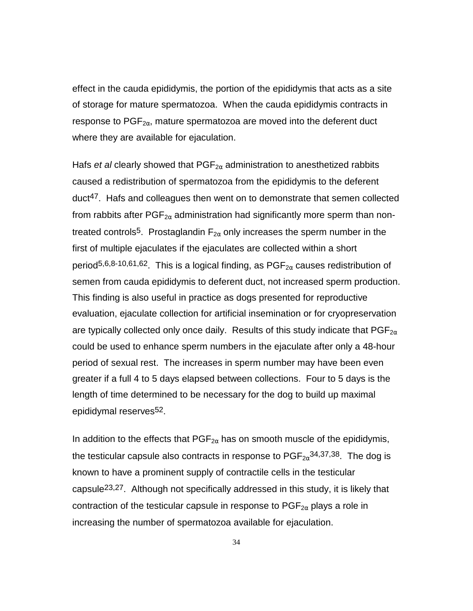effect in the cauda epididymis, the portion of the epididymis that acts as a site of storage for mature spermatozoa. When the cauda epididymis contracts in response to  $PGF_{2\alpha}$ , mature spermatozoa are moved into the deferent duct where they are available for ejaculation.

Hafs *et al* clearly showed that  $PGF_{2\alpha}$  administration to anesthetized rabbits caused a redistribution of spermatozoa from the epididymis to the deferent duct47. Hafs and colleagues then went on to demonstrate that semen collected from rabbits after  $PGF_{2\alpha}$  administration had significantly more sperm than nontreated controls<sup>5</sup>. Prostaglandin  $F_{2\alpha}$  only increases the sperm number in the first of multiple ejaculates if the ejaculates are collected within a short period<sup>5,6,8-10,61,62</sup>. This is a logical finding, as  $PGF_{2\alpha}$  causes redistribution of semen from cauda epididymis to deferent duct, not increased sperm production. This finding is also useful in practice as dogs presented for reproductive evaluation, ejaculate collection for artificial insemination or for cryopreservation are typically collected only once daily. Results of this study indicate that  $PGF_{2\alpha}$ could be used to enhance sperm numbers in the ejaculate after only a 48-hour period of sexual rest. The increases in sperm number may have been even greater if a full 4 to 5 days elapsed between collections. Four to 5 days is the length of time determined to be necessary for the dog to build up maximal epididymal reserves<sup>52</sup>.

In addition to the effects that  $PGF_{2\alpha}$  has on smooth muscle of the epididymis, the testicular capsule also contracts in response to  $PGF_{2\alpha}^{34,37,38}$ . The dog is known to have a prominent supply of contractile cells in the testicular capsule23,27. Although not specifically addressed in this study, it is likely that contraction of the testicular capsule in response to  $PGF_{2\alpha}$  plays a role in increasing the number of spermatozoa available for ejaculation.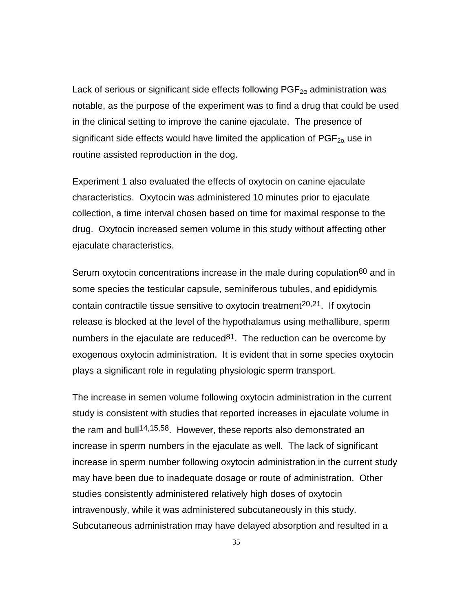Lack of serious or significant side effects following  $PGF_{2\alpha}$  administration was notable, as the purpose of the experiment was to find a drug that could be used in the clinical setting to improve the canine ejaculate. The presence of significant side effects would have limited the application of  $PGF_{2\alpha}$  use in routine assisted reproduction in the dog.

Experiment 1 also evaluated the effects of oxytocin on canine ejaculate characteristics. Oxytocin was administered 10 minutes prior to ejaculate collection, a time interval chosen based on time for maximal response to the drug. Oxytocin increased semen volume in this study without affecting other ejaculate characteristics.

Serum oxytocin concentrations increase in the male during copulation<sup>80</sup> and in some species the testicular capsule, seminiferous tubules, and epididymis contain contractile tissue sensitive to oxytocin treatment<sup>20,21</sup>. If oxytocin release is blocked at the level of the hypothalamus using methallibure, sperm numbers in the ejaculate are reduced  $81$ . The reduction can be overcome by exogenous oxytocin administration. It is evident that in some species oxytocin plays a significant role in regulating physiologic sperm transport.

The increase in semen volume following oxytocin administration in the current study is consistent with studies that reported increases in ejaculate volume in the ram and bull<sup>14,15,58</sup>. However, these reports also demonstrated an increase in sperm numbers in the ejaculate as well. The lack of significant increase in sperm number following oxytocin administration in the current study may have been due to inadequate dosage or route of administration. Other studies consistently administered relatively high doses of oxytocin intravenously, while it was administered subcutaneously in this study. Subcutaneous administration may have delayed absorption and resulted in a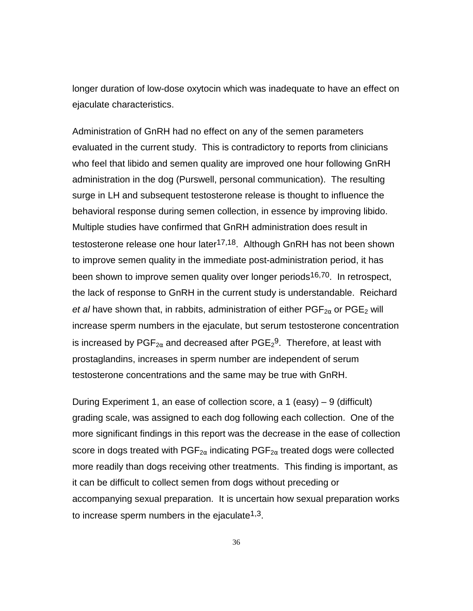longer duration of low-dose oxytocin which was inadequate to have an effect on ejaculate characteristics.

Administration of GnRH had no effect on any of the semen parameters evaluated in the current study. This is contradictory to reports from clinicians who feel that libido and semen quality are improved one hour following GnRH administration in the dog (Purswell, personal communication). The resulting surge in LH and subsequent testosterone release is thought to influence the behavioral response during semen collection, in essence by improving libido. Multiple studies have confirmed that GnRH administration does result in testosterone release one hour later<sup>17,18</sup>. Although GnRH has not been shown to improve semen quality in the immediate post-administration period, it has been shown to improve semen quality over longer periods<sup>16,70</sup>. In retrospect, the lack of response to GnRH in the current study is understandable. Reichard *et al* have shown that, in rabbits, administration of either  $PGF_{2\alpha}$  or  $PGE_2$  will increase sperm numbers in the ejaculate, but serum testosterone concentration is increased by  $\mathsf{PGF}_{2\alpha}$  and decreased after  $\mathsf{PGE}_2{}^9$ . Therefore, at least with prostaglandins, increases in sperm number are independent of serum testosterone concentrations and the same may be true with GnRH.

During Experiment 1, an ease of collection score, a 1 (easy) – 9 (difficult) grading scale, was assigned to each dog following each collection. One of the more significant findings in this report was the decrease in the ease of collection score in dogs treated with PGF<sub>2 $\alpha$ </sub> indicating PGF<sub>2 $\alpha$ </sub> treated dogs were collected more readily than dogs receiving other treatments. This finding is important, as it can be difficult to collect semen from dogs without preceding or accompanying sexual preparation. It is uncertain how sexual preparation works to increase sperm numbers in the ejaculate<sup>1,3</sup>.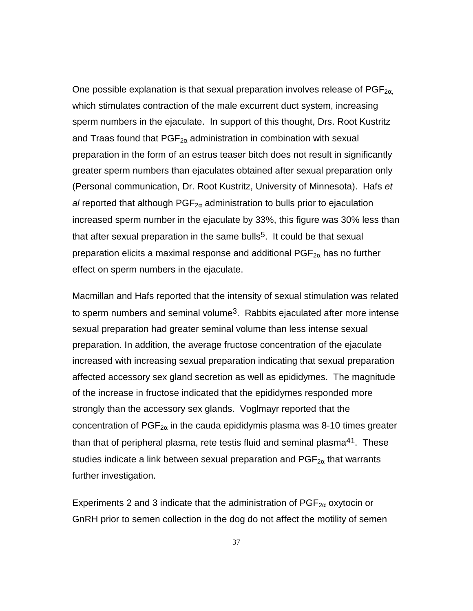One possible explanation is that sexual preparation involves release of  $PGF_{2\alpha}$ which stimulates contraction of the male excurrent duct system, increasing sperm numbers in the ejaculate. In support of this thought, Drs. Root Kustritz and Traas found that  $PGF_{2\alpha}$  administration in combination with sexual preparation in the form of an estrus teaser bitch does not result in significantly greater sperm numbers than ejaculates obtained after sexual preparation only (Personal communication, Dr. Root Kustritz, University of Minnesota). Hafs *et al* reported that although  $PGF_{2\alpha}$  administration to bulls prior to ejaculation increased sperm number in the ejaculate by 33%, this figure was 30% less than that after sexual preparation in the same bulls<sup>5</sup>. It could be that sexual preparation elicits a maximal response and additional  $PGF_{2\alpha}$  has no further effect on sperm numbers in the ejaculate.

Macmillan and Hafs reported that the intensity of sexual stimulation was related to sperm numbers and seminal volume<sup>3</sup>. Rabbits ejaculated after more intense sexual preparation had greater seminal volume than less intense sexual preparation. In addition, the average fructose concentration of the ejaculate increased with increasing sexual preparation indicating that sexual preparation affected accessory sex gland secretion as well as epididymes. The magnitude of the increase in fructose indicated that the epididymes responded more strongly than the accessory sex glands. Voglmayr reported that the concentration of  $PGF_{2\alpha}$  in the cauda epididymis plasma was 8-10 times greater than that of peripheral plasma, rete testis fluid and seminal plasma<sup>41</sup>. These studies indicate a link between sexual preparation and  $PGF_{2\alpha}$  that warrants further investigation.

Experiments 2 and 3 indicate that the administration of  $\mathsf{PGF}_{2\alpha}$  oxytocin or GnRH prior to semen collection in the dog do not affect the motility of semen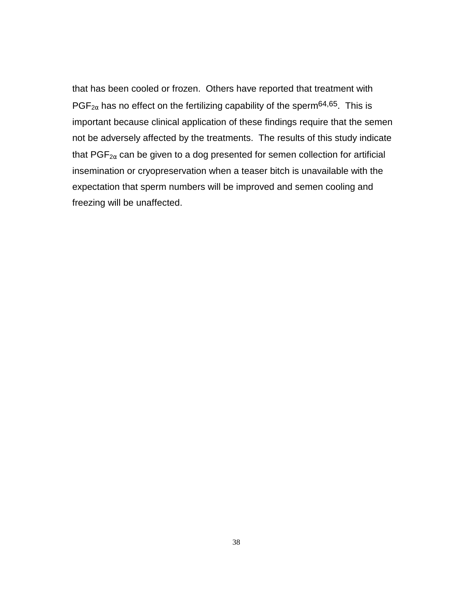that has been cooled or frozen. Others have reported that treatment with  $PGF_{2\alpha}$  has no effect on the fertilizing capability of the sperm<sup>64,65</sup>. This is important because clinical application of these findings require that the semen not be adversely affected by the treatments. The results of this study indicate that  $PGF_{2\alpha}$  can be given to a dog presented for semen collection for artificial insemination or cryopreservation when a teaser bitch is unavailable with the expectation that sperm numbers will be improved and semen cooling and freezing will be unaffected.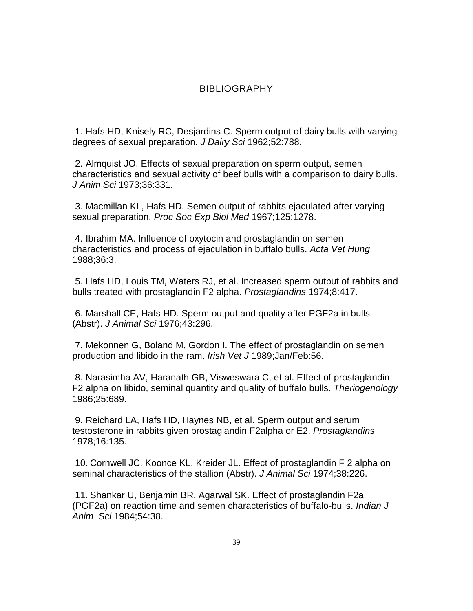## BIBLIOGRAPHY

 1. Hafs HD, Knisely RC, Desjardins C. Sperm output of dairy bulls with varying degrees of sexual preparation. *J Dairy Sci* 1962;52:788.

 2. Almquist JO. Effects of sexual preparation on sperm output, semen characteristics and sexual activity of beef bulls with a comparison to dairy bulls. *J Anim Sci* 1973;36:331.

 3. Macmillan KL, Hafs HD. Semen output of rabbits ejaculated after varying sexual preparation. *Proc Soc Exp Biol Med* 1967;125:1278.

 4. Ibrahim MA. Influence of oxytocin and prostaglandin on semen characteristics and process of ejaculation in buffalo bulls. *Acta Vet Hung* 1988;36:3.

 5. Hafs HD, Louis TM, Waters RJ, et al. Increased sperm output of rabbits and bulls treated with prostaglandin F2 alpha. *Prostaglandins* 1974;8:417.

 6. Marshall CE, Hafs HD. Sperm output and quality after PGF2a in bulls (Abstr). *J Animal Sci* 1976;43:296.

 7. Mekonnen G, Boland M, Gordon I. The effect of prostaglandin on semen production and libido in the ram. *Irish Vet J* 1989;Jan/Feb:56.

 8. Narasimha AV, Haranath GB, Visweswara C, et al. Effect of prostaglandin F2 alpha on libido, seminal quantity and quality of buffalo bulls. *Theriogenology* 1986;25:689.

 9. Reichard LA, Hafs HD, Haynes NB, et al. Sperm output and serum testosterone in rabbits given prostaglandin F2alpha or E2. *Prostaglandins* 1978;16:135.

 10. Cornwell JC, Koonce KL, Kreider JL. Effect of prostaglandin F 2 alpha on seminal characteristics of the stallion (Abstr). *J Animal Sci* 1974;38:226.

 11. Shankar U, Benjamin BR, Agarwal SK. Effect of prostaglandin F2a (PGF2a) on reaction time and semen characteristics of buffalo-bulls. *Indian J Anim Sci* 1984;54:38.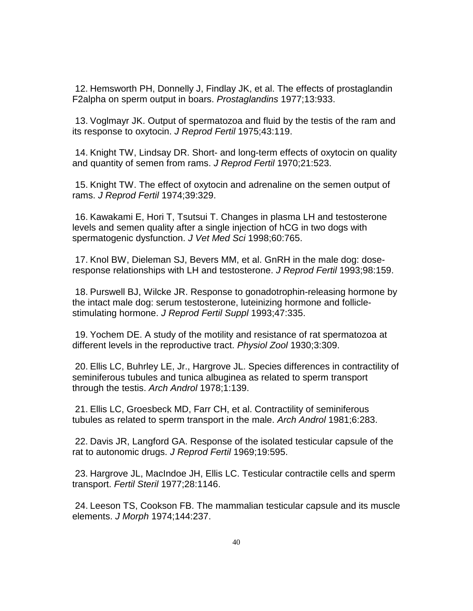12. Hemsworth PH, Donnelly J, Findlay JK, et al. The effects of prostaglandin F2alpha on sperm output in boars. *Prostaglandins* 1977;13:933.

 13. Voglmayr JK. Output of spermatozoa and fluid by the testis of the ram and its response to oxytocin. *J Reprod Fertil* 1975;43:119.

 14. Knight TW, Lindsay DR. Short- and long-term effects of oxytocin on quality and quantity of semen from rams. *J Reprod Fertil* 1970;21:523.

 15. Knight TW. The effect of oxytocin and adrenaline on the semen output of rams. *J Reprod Fertil* 1974;39:329.

 16. Kawakami E, Hori T, Tsutsui T. Changes in plasma LH and testosterone levels and semen quality after a single injection of hCG in two dogs with spermatogenic dysfunction. *J Vet Med Sci* 1998;60:765.

 17. Knol BW, Dieleman SJ, Bevers MM, et al. GnRH in the male dog: doseresponse relationships with LH and testosterone. *J Reprod Fertil* 1993;98:159.

 18. Purswell BJ, Wilcke JR. Response to gonadotrophin-releasing hormone by the intact male dog: serum testosterone, luteinizing hormone and folliclestimulating hormone. *J Reprod Fertil Suppl* 1993;47:335.

 19. Yochem DE. A study of the motility and resistance of rat spermatozoa at different levels in the reproductive tract. *Physiol Zool* 1930;3:309.

 20. Ellis LC, Buhrley LE, Jr., Hargrove JL. Species differences in contractility of seminiferous tubules and tunica albuginea as related to sperm transport through the testis. *Arch Androl* 1978;1:139.

 21. Ellis LC, Groesbeck MD, Farr CH, et al. Contractility of seminiferous tubules as related to sperm transport in the male. *Arch Androl* 1981;6:283.

 22. Davis JR, Langford GA. Response of the isolated testicular capsule of the rat to autonomic drugs. *J Reprod Fertil* 1969;19:595.

 23. Hargrove JL, MacIndoe JH, Ellis LC. Testicular contractile cells and sperm transport. *Fertil Steril* 1977;28:1146.

 24. Leeson TS, Cookson FB. The mammalian testicular capsule and its muscle elements. *J Morph* 1974;144:237.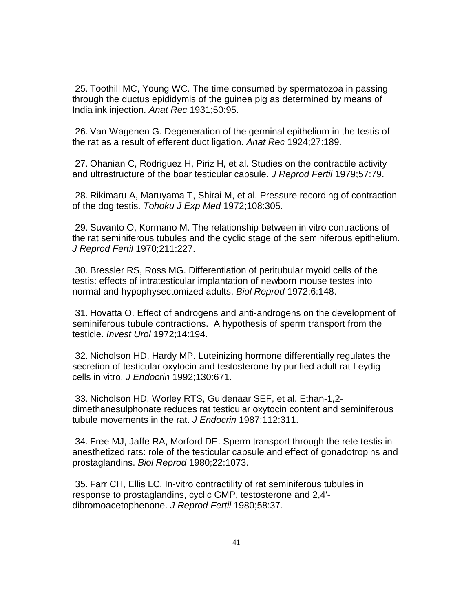25. Toothill MC, Young WC. The time consumed by spermatozoa in passing through the ductus epididymis of the guinea pig as determined by means of India ink injection. *Anat Rec* 1931;50:95.

 26. Van Wagenen G. Degeneration of the germinal epithelium in the testis of the rat as a result of efferent duct ligation. *Anat Rec* 1924;27:189.

 27. Ohanian C, Rodriguez H, Piriz H, et al. Studies on the contractile activity and ultrastructure of the boar testicular capsule. *J Reprod Fertil* 1979;57:79.

 28. Rikimaru A, Maruyama T, Shirai M, et al. Pressure recording of contraction of the dog testis. *Tohoku J Exp Med* 1972;108:305.

 29. Suvanto O, Kormano M. The relationship between in vitro contractions of the rat seminiferous tubules and the cyclic stage of the seminiferous epithelium. *J Reprod Fertil* 1970;211:227.

 30. Bressler RS, Ross MG. Differentiation of peritubular myoid cells of the testis: effects of intratesticular implantation of newborn mouse testes into normal and hypophysectomized adults. *Biol Reprod* 1972;6:148.

 31. Hovatta O. Effect of androgens and anti-androgens on the development of seminiferous tubule contractions. A hypothesis of sperm transport from the testicle. *Invest Urol* 1972;14:194.

 32. Nicholson HD, Hardy MP. Luteinizing hormone differentially regulates the secretion of testicular oxytocin and testosterone by purified adult rat Leydig cells in vitro. *J Endocrin* 1992;130:671.

 33. Nicholson HD, Worley RTS, Guldenaar SEF, et al. Ethan-1,2 dimethanesulphonate reduces rat testicular oxytocin content and seminiferous tubule movements in the rat. *J Endocrin* 1987;112:311.

 34. Free MJ, Jaffe RA, Morford DE. Sperm transport through the rete testis in anesthetized rats: role of the testicular capsule and effect of gonadotropins and prostaglandins. *Biol Reprod* 1980;22:1073.

 35. Farr CH, Ellis LC. In-vitro contractility of rat seminiferous tubules in response to prostaglandins, cyclic GMP, testosterone and 2,4' dibromoacetophenone. *J Reprod Fertil* 1980;58:37.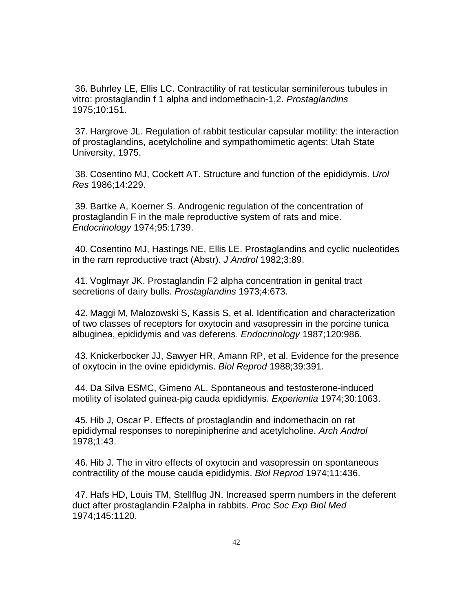36. Buhrley LE, Ellis LC. Contractility of rat testicular seminiferous tubules in vitro: prostaglandin f 1 alpha and indomethacin-1,2. *Prostaglandins* 1975;10:151.

 37. Hargrove JL. Regulation of rabbit testicular capsular motility: the interaction of prostaglandins, acetylcholine and sympathomimetic agents: Utah State University, 1975.

 38. Cosentino MJ, Cockett AT. Structure and function of the epididymis. *Urol Res* 1986;14:229.

 39. Bartke A, Koerner S. Androgenic regulation of the concentration of prostaglandin F in the male reproductive system of rats and mice. *Endocrinology* 1974;95:1739.

 40. Cosentino MJ, Hastings NE, Ellis LE. Prostaglandins and cyclic nucleotides in the ram reproductive tract (Abstr). *J Androl* 1982;3:89.

 41. Voglmayr JK. Prostaglandin F2 alpha concentration in genital tract secretions of dairy bulls. *Prostaglandins* 1973;4:673.

 42. Maggi M, Malozowski S, Kassis S, et al. Identification and characterization of two classes of receptors for oxytocin and vasopressin in the porcine tunica albuginea, epididymis and vas deferens. *Endocrinology* 1987;120:986.

 43. Knickerbocker JJ, Sawyer HR, Amann RP, et al. Evidence for the presence of oxytocin in the ovine epididymis. *Biol Reprod* 1988;39:391.

 44. Da Silva ESMC, Gimeno AL. Spontaneous and testosterone-induced motility of isolated guinea-pig cauda epididymis. *Experientia* 1974;30:1063.

 45. Hib J, Oscar P. Effects of prostaglandin and indomethacin on rat epididymal responses to norepinipherine and acetylcholine. *Arch Androl* 1978;1:43.

 46. Hib J. The in vitro effects of oxytocin and vasopressin on spontaneous contractility of the mouse cauda epididymis. *Biol Reprod* 1974;11:436.

 47. Hafs HD, Louis TM, Stellflug JN. Increased sperm numbers in the deferent duct after prostaglandin F2alpha in rabbits. *Proc Soc Exp Biol Med* 1974;145:1120.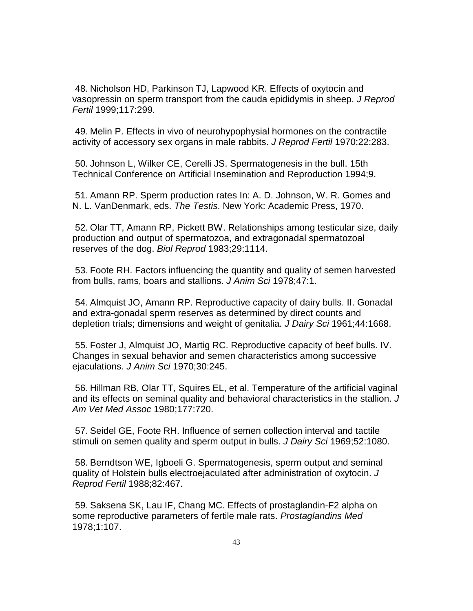48. Nicholson HD, Parkinson TJ, Lapwood KR. Effects of oxytocin and vasopressin on sperm transport from the cauda epididymis in sheep. *J Reprod Fertil* 1999;117:299.

 49. Melin P. Effects in vivo of neurohypophysial hormones on the contractile activity of accessory sex organs in male rabbits. *J Reprod Fertil* 1970;22:283.

 50. Johnson L, Wilker CE, Cerelli JS. Spermatogenesis in the bull. 15th Technical Conference on Artificial Insemination and Reproduction 1994;9.

 51. Amann RP. Sperm production rates In: A. D. Johnson, W. R. Gomes and N. L. VanDenmark, eds. *The Testis*. New York: Academic Press, 1970.

 52. Olar TT, Amann RP, Pickett BW. Relationships among testicular size, daily production and output of spermatozoa, and extragonadal spermatozoal reserves of the dog. *Biol Reprod* 1983;29:1114.

 53. Foote RH. Factors influencing the quantity and quality of semen harvested from bulls, rams, boars and stallions. *J Anim Sci* 1978;47:1.

 54. Almquist JO, Amann RP. Reproductive capacity of dairy bulls. II. Gonadal and extra-gonadal sperm reserves as determined by direct counts and depletion trials; dimensions and weight of genitalia. *J Dairy Sci* 1961;44:1668.

 55. Foster J, Almquist JO, Martig RC. Reproductive capacity of beef bulls. IV. Changes in sexual behavior and semen characteristics among successive ejaculations. *J Anim Sci* 1970;30:245.

 56. Hillman RB, Olar TT, Squires EL, et al. Temperature of the artificial vaginal and its effects on seminal quality and behavioral characteristics in the stallion. *J Am Vet Med Assoc* 1980;177:720.

 57. Seidel GE, Foote RH. Influence of semen collection interval and tactile stimuli on semen quality and sperm output in bulls. *J Dairy Sci* 1969;52:1080.

 58. Berndtson WE, Igboeli G. Spermatogenesis, sperm output and seminal quality of Holstein bulls electroejaculated after administration of oxytocin. *J Reprod Fertil* 1988;82:467.

 59. Saksena SK, Lau IF, Chang MC. Effects of prostaglandin-F2 alpha on some reproductive parameters of fertile male rats. *Prostaglandins Med* 1978;1:107.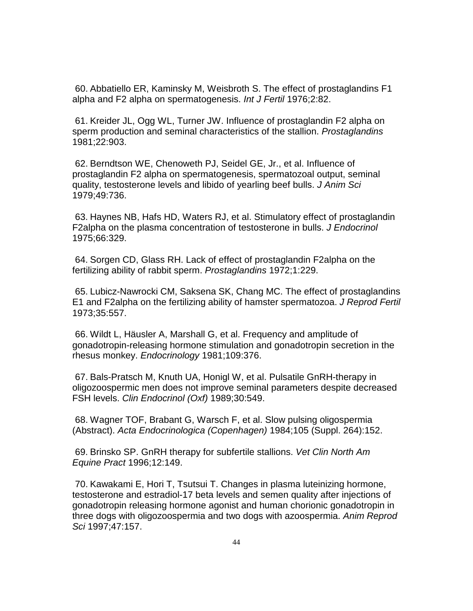60. Abbatiello ER, Kaminsky M, Weisbroth S. The effect of prostaglandins F1 alpha and F2 alpha on spermatogenesis. *Int J Fertil* 1976;2:82.

 61. Kreider JL, Ogg WL, Turner JW. Influence of prostaglandin F2 alpha on sperm production and seminal characteristics of the stallion. *Prostaglandins* 1981;22:903.

 62. Berndtson WE, Chenoweth PJ, Seidel GE, Jr., et al. Influence of prostaglandin F2 alpha on spermatogenesis, spermatozoal output, seminal quality, testosterone levels and libido of yearling beef bulls. *J Anim Sci* 1979;49:736.

 63. Haynes NB, Hafs HD, Waters RJ, et al. Stimulatory effect of prostaglandin F2alpha on the plasma concentration of testosterone in bulls. *J Endocrinol* 1975;66:329.

 64. Sorgen CD, Glass RH. Lack of effect of prostaglandin F2alpha on the fertilizing ability of rabbit sperm. *Prostaglandins* 1972;1:229.

 65. Lubicz-Nawrocki CM, Saksena SK, Chang MC. The effect of prostaglandins E1 and F2alpha on the fertilizing ability of hamster spermatozoa. *J Reprod Fertil* 1973;35:557.

 66. Wildt L, Häusler A, Marshall G, et al. Frequency and amplitude of gonadotropin-releasing hormone stimulation and gonadotropin secretion in the rhesus monkey. *Endocrinology* 1981;109:376.

 67. Bals-Pratsch M, Knuth UA, Honigl W, et al. Pulsatile GnRH-therapy in oligozoospermic men does not improve seminal parameters despite decreased FSH levels. *Clin Endocrinol (Oxf)* 1989;30:549.

 68. Wagner TOF, Brabant G, Warsch F, et al. Slow pulsing oligospermia (Abstract). *Acta Endocrinologica (Copenhagen)* 1984;105 (Suppl. 264):152.

 69. Brinsko SP. GnRH therapy for subfertile stallions. *Vet Clin North Am Equine Pract* 1996;12:149.

 70. Kawakami E, Hori T, Tsutsui T. Changes in plasma luteinizing hormone, testosterone and estradiol-17 beta levels and semen quality after injections of gonadotropin releasing hormone agonist and human chorionic gonadotropin in three dogs with oligozoospermia and two dogs with azoospermia. *Anim Reprod Sci* 1997;47:157.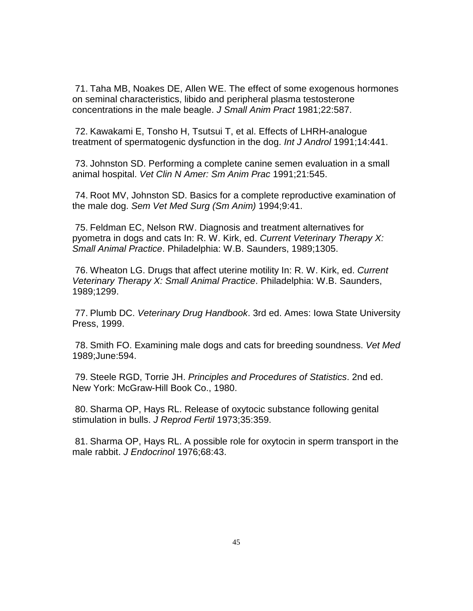71. Taha MB, Noakes DE, Allen WE. The effect of some exogenous hormones on seminal characteristics, libido and peripheral plasma testosterone concentrations in the male beagle. *J Small Anim Pract* 1981;22:587.

 72. Kawakami E, Tonsho H, Tsutsui T, et al. Effects of LHRH-analogue treatment of spermatogenic dysfunction in the dog. *Int J Androl* 1991;14:441.

 73. Johnston SD. Performing a complete canine semen evaluation in a small animal hospital. *Vet Clin N Amer: Sm Anim Prac* 1991;21:545.

 74. Root MV, Johnston SD. Basics for a complete reproductive examination of the male dog. *Sem Vet Med Surg (Sm Anim)* 1994;9:41.

 75. Feldman EC, Nelson RW. Diagnosis and treatment alternatives for pyometra in dogs and cats In: R. W. Kirk, ed. *Current Veterinary Therapy X: Small Animal Practice*. Philadelphia: W.B. Saunders, 1989;1305.

 76. Wheaton LG. Drugs that affect uterine motility In: R. W. Kirk, ed. *Current Veterinary Therapy X: Small Animal Practice*. Philadelphia: W.B. Saunders, 1989;1299.

 77. Plumb DC. *Veterinary Drug Handbook*. 3rd ed. Ames: Iowa State University Press, 1999.

 78. Smith FO. Examining male dogs and cats for breeding soundness. *Vet Med* 1989;June:594.

 79. Steele RGD, Torrie JH. *Principles and Procedures of Statistics*. 2nd ed. New York: McGraw-Hill Book Co., 1980.

 80. Sharma OP, Hays RL. Release of oxytocic substance following genital stimulation in bulls. *J Reprod Fertil* 1973;35:359.

 81. Sharma OP, Hays RL. A possible role for oxytocin in sperm transport in the male rabbit. *J Endocrinol* 1976;68:43.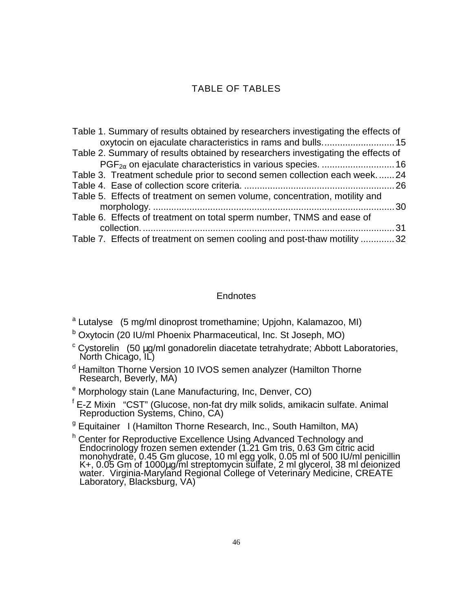## TABLE OF TABLES

<span id="page-52-0"></span>

| Table 1. Summary of results obtained by researchers investigating the effects of |  |
|----------------------------------------------------------------------------------|--|
|                                                                                  |  |
| Table 2. Summary of results obtained by researchers investigating the effects of |  |
|                                                                                  |  |
| Table 3. Treatment schedule prior to second semen collection each week24         |  |
|                                                                                  |  |
| Table 5. Effects of treatment on semen volume, concentration, motility and       |  |
|                                                                                  |  |
| Table 6. Effects of treatment on total sperm number, TNMS and ease of            |  |
|                                                                                  |  |
| Table 7. Effects of treatment on semen cooling and post-thaw motility 32         |  |

#### **Endnotes**

<sup>a</sup> Lutalyse<sup>®</sup> (5 mg/ml dinoprost tromethamine; Upjohn, Kalamazoo, MI)

- <sup>b</sup> Oxytocin (20 IU/ml Phoenix Pharmaceutical, Inc. St Joseph, MO)
- <sup>c</sup> Cystorelin<sup>®</sup> (50 µg/ml gonadorelin diacetate tetrahydrate; Abbott Laboratories,<br>North Chicago, IL)
- <sup>d</sup> Hamilton Thorne Version 10 IVOS semen analyzer (Hamilton Thorne Research, Beverly, MA)
- <sup>e</sup> Morphology stain (Lane Manufacturing, Inc, Denver, CO)
- <sup>f</sup> E-Z Mixin<sup>®</sup> "CST" (Glucose, non-fat dry milk solids, amikacin sulfate. Animal<br>Reproduction Systems, Chino, CA)
- <sup>g</sup> Equitainer<sup>™</sup> I (Hamilton Thorne Research, Inc., South Hamilton, MA)
- <sup>h</sup> Center for Reproductive Excellence Using Advanced Technology and Endocrinology frozen semen extender (1.21 Gm tris, 0.63 Gm citric acid monohydrate, 0.45 Gm glucose, 10 ml egg yolk, 0.05 ml of 500 IU/ml penicillin K+, 0.05 Gm of 1000µg/ml streptomycin sulfate, 2 ml glycerol, 38 ml deionized<br>water. Virginia-Maryland Regional College of Veterinary Medicine, CREATE Laboratory, Blacksburg, VA)